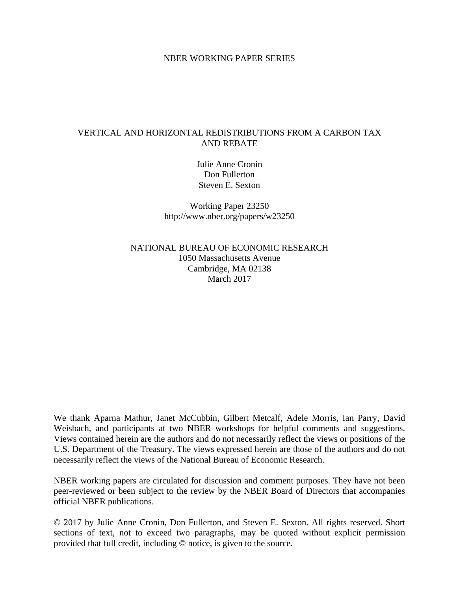#### NBER WORKING PAPER SERIES

## VERTICAL AND HORIZONTAL REDISTRIBUTIONS FROM A CARBON TAX AND REBATE

Julie Anne Cronin Don Fullerton Steven E. Sexton

Working Paper 23250 http://www.nber.org/papers/w23250

NATIONAL BUREAU OF ECONOMIC RESEARCH 1050 Massachusetts Avenue Cambridge, MA 02138 March 2017

We thank Aparna Mathur, Janet McCubbin, Gilbert Metcalf, Adele Morris, Ian Parry, David Weisbach, and participants at two NBER workshops for helpful comments and suggestions. Views contained herein are the authors and do not necessarily reflect the views or positions of the U.S. Department of the Treasury. The views expressed herein are those of the authors and do not necessarily reflect the views of the National Bureau of Economic Research.

NBER working papers are circulated for discussion and comment purposes. They have not been peer-reviewed or been subject to the review by the NBER Board of Directors that accompanies official NBER publications.

© 2017 by Julie Anne Cronin, Don Fullerton, and Steven E. Sexton. All rights reserved. Short sections of text, not to exceed two paragraphs, may be quoted without explicit permission provided that full credit, including © notice, is given to the source.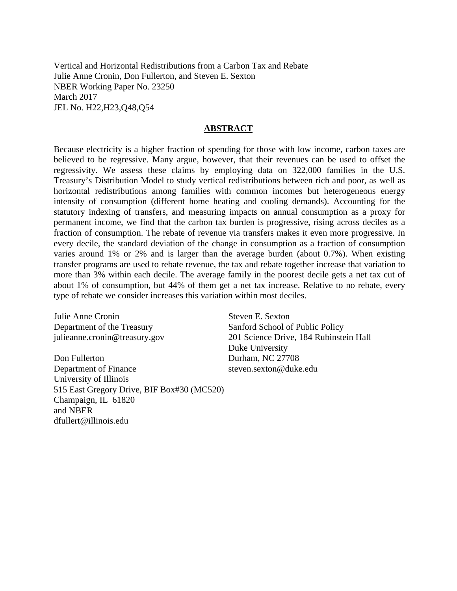Vertical and Horizontal Redistributions from a Carbon Tax and Rebate Julie Anne Cronin, Don Fullerton, and Steven E. Sexton NBER Working Paper No. 23250 March 2017 JEL No. H22,H23,Q48,Q54

#### **ABSTRACT**

Because electricity is a higher fraction of spending for those with low income, carbon taxes are believed to be regressive. Many argue, however, that their revenues can be used to offset the regressivity. We assess these claims by employing data on 322,000 families in the U.S. Treasury's Distribution Model to study vertical redistributions between rich and poor, as well as horizontal redistributions among families with common incomes but heterogeneous energy intensity of consumption (different home heating and cooling demands). Accounting for the statutory indexing of transfers, and measuring impacts on annual consumption as a proxy for permanent income, we find that the carbon tax burden is progressive, rising across deciles as a fraction of consumption. The rebate of revenue via transfers makes it even more progressive. In every decile, the standard deviation of the change in consumption as a fraction of consumption varies around 1% or 2% and is larger than the average burden (about 0.7%). When existing transfer programs are used to rebate revenue, the tax and rebate together increase that variation to more than 3% within each decile. The average family in the poorest decile gets a net tax cut of about 1% of consumption, but 44% of them get a net tax increase. Relative to no rebate, every type of rebate we consider increases this variation within most deciles.

Julie Anne Cronin Department of the Treasury julieanne.cronin@treasury.gov

Don Fullerton Department of Finance University of Illinois 515 East Gregory Drive, BIF Box#30 (MC520) Champaign, IL 61820 and NBER dfullert@illinois.edu

Steven E. Sexton Sanford School of Public Policy 201 Science Drive, 184 Rubinstein Hall Duke University Durham, NC 27708 steven.sexton@duke.edu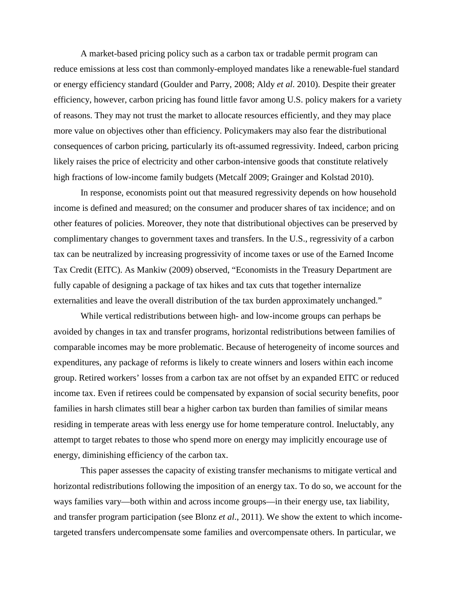A market-based pricing policy such as a carbon tax or tradable permit program can reduce emissions at less cost than commonly-employed mandates like a renewable-fuel standard or energy efficiency standard (Goulder and Parry, 2008; Aldy *et al*. 2010). Despite their greater efficiency, however, carbon pricing has found little favor among U.S. policy makers for a variety of reasons. They may not trust the market to allocate resources efficiently, and they may place more value on objectives other than efficiency. Policymakers may also fear the distributional consequences of carbon pricing, particularly its oft-assumed regressivity. Indeed, carbon pricing likely raises the price of electricity and other carbon-intensive goods that constitute relatively high fractions of low-income family budgets (Metcalf 2009; Grainger and Kolstad 2010).

In response, economists point out that measured regressivity depends on how household income is defined and measured; on the consumer and producer shares of tax incidence; and on other features of policies. Moreover, they note that distributional objectives can be preserved by complimentary changes to government taxes and transfers. In the U.S., regressivity of a carbon tax can be neutralized by increasing progressivity of income taxes or use of the Earned Income Tax Credit (EITC). As Mankiw (2009) observed, "Economists in the Treasury Department are fully capable of designing a package of tax hikes and tax cuts that together internalize externalities and leave the overall distribution of the tax burden approximately unchanged."

While vertical redistributions between high- and low-income groups can perhaps be avoided by changes in tax and transfer programs, horizontal redistributions between families of comparable incomes may be more problematic. Because of heterogeneity of income sources and expenditures, any package of reforms is likely to create winners and losers within each income group. Retired workers' losses from a carbon tax are not offset by an expanded EITC or reduced income tax. Even if retirees could be compensated by expansion of social security benefits, poor families in harsh climates still bear a higher carbon tax burden than families of similar means residing in temperate areas with less energy use for home temperature control. Ineluctably, any attempt to target rebates to those who spend more on energy may implicitly encourage use of energy, diminishing efficiency of the carbon tax.

This paper assesses the capacity of existing transfer mechanisms to mitigate vertical and horizontal redistributions following the imposition of an energy tax. To do so, we account for the ways families vary—both within and across income groups—in their energy use, tax liability, and transfer program participation (see Blonz *et al*., 2011). We show the extent to which incometargeted transfers undercompensate some families and overcompensate others. In particular, we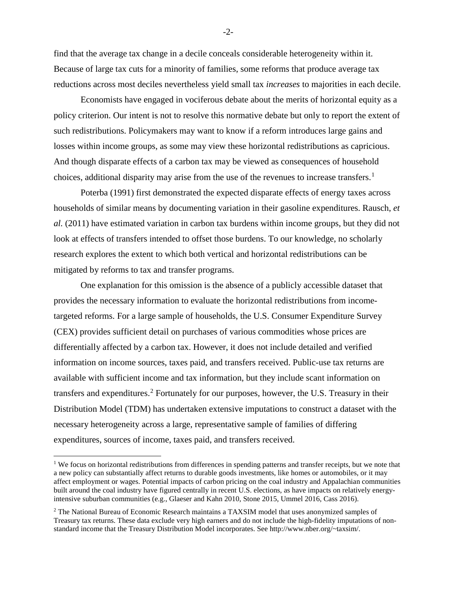find that the average tax change in a decile conceals considerable heterogeneity within it. Because of large tax cuts for a minority of families, some reforms that produce average tax reductions across most deciles nevertheless yield small tax *increases* to majorities in each decile.

Economists have engaged in vociferous debate about the merits of horizontal equity as a policy criterion. Our intent is not to resolve this normative debate but only to report the extent of such redistributions. Policymakers may want to know if a reform introduces large gains and losses within income groups, as some may view these horizontal redistributions as capricious. And though disparate effects of a carbon tax may be viewed as consequences of household choices, additional disparity may arise from the use of the revenues to increase transfers. [1](#page-3-0)

Poterba (1991) first demonstrated the expected disparate effects of energy taxes across households of similar means by documenting variation in their gasoline expenditures. Rausch, *et al.* (2011) have estimated variation in carbon tax burdens within income groups, but they did not look at effects of transfers intended to offset those burdens. To our knowledge, no scholarly research explores the extent to which both vertical and horizontal redistributions can be mitigated by reforms to tax and transfer programs.

One explanation for this omission is the absence of a publicly accessible dataset that provides the necessary information to evaluate the horizontal redistributions from incometargeted reforms. For a large sample of households, the U.S. Consumer Expenditure Survey (CEX) provides sufficient detail on purchases of various commodities whose prices are differentially affected by a carbon tax. However, it does not include detailed and verified information on income sources, taxes paid, and transfers received. Public-use tax returns are available with sufficient income and tax information, but they include scant information on transfers and expenditures.<sup>[2](#page-3-1)</sup> Fortunately for our purposes, however, the U.S. Treasury in their Distribution Model (TDM) has undertaken extensive imputations to construct a dataset with the necessary heterogeneity across a large, representative sample of families of differing expenditures, sources of income, taxes paid, and transfers received.

 $\overline{a}$ 

-2-

<span id="page-3-0"></span><sup>&</sup>lt;sup>1</sup> We focus on horizontal redistributions from differences in spending patterns and transfer receipts, but we note that a new policy can substantially affect returns to durable goods investments, like homes or automobiles, or it may affect employment or wages. Potential impacts of carbon pricing on the coal industry and Appalachian communities built around the coal industry have figured centrally in recent U.S. elections, as have impacts on relatively energyintensive suburban communities (e.g., Glaeser and Kahn 2010, Stone 2015, Ummel 2016, Cass 2016).

<span id="page-3-1"></span><sup>&</sup>lt;sup>2</sup> The National Bureau of Economic Research maintains a TAXSIM model that uses anonymized samples of Treasury tax returns. These data exclude very high earners and do not include the high-fidelity imputations of nonstandard income that the Treasury Distribution Model incorporates. See http://www.nber.org/~taxsim/.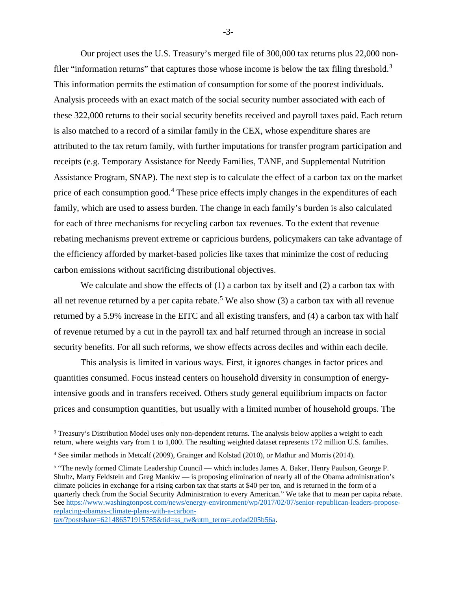Our project uses the U.S. Treasury's merged file of 300,000 tax returns plus 22,000 non-filer "information returns" that captures those whose income is below the tax filing threshold.<sup>[3](#page-4-0)</sup> This information permits the estimation of consumption for some of the poorest individuals. Analysis proceeds with an exact match of the social security number associated with each of these 322,000 returns to their social security benefits received and payroll taxes paid. Each return is also matched to a record of a similar family in the CEX, whose expenditure shares are attributed to the tax return family, with further imputations for transfer program participation and receipts (e.g. Temporary Assistance for Needy Families, TANF, and Supplemental Nutrition Assistance Program, SNAP). The next step is to calculate the effect of a carbon tax on the market price of each consumption good.<sup>[4](#page-4-1)</sup> These price effects imply changes in the expenditures of each family, which are used to assess burden. The change in each family's burden is also calculated for each of three mechanisms for recycling carbon tax revenues. To the extent that revenue rebating mechanisms prevent extreme or capricious burdens, policymakers can take advantage of the efficiency afforded by market-based policies like taxes that minimize the cost of reducing carbon emissions without sacrificing distributional objectives.

We calculate and show the effects of (1) a carbon tax by itself and (2) a carbon tax with all net revenue returned by a per capita rebate.<sup>[5](#page-4-2)</sup> We also show  $(3)$  a carbon tax with all revenue returned by a 5.9% increase in the EITC and all existing transfers, and (4) a carbon tax with half of revenue returned by a cut in the payroll tax and half returned through an increase in social security benefits. For all such reforms, we show effects across deciles and within each decile.

This analysis is limited in various ways. First, it ignores changes in factor prices and quantities consumed. Focus instead centers on household diversity in consumption of energyintensive goods and in transfers received. Others study general equilibrium impacts on factor prices and consumption quantities, but usually with a limited number of household groups. The

[tax/?postshare=621486571915785&tid=ss\\_tw&utm\\_term=.ecdad205b56a.](https://www.washingtonpost.com/news/energy-environment/wp/2017/02/07/senior-republican-leaders-propose-replacing-obamas-climate-plans-with-a-carbon-tax/?postshare=621486571915785&tid=ss_tw&utm_term=.ecdad205b56a)

 $\overline{a}$ 

-3-

<span id="page-4-0"></span><sup>3</sup> Treasury's Distribution Model uses only non-dependent returns. The analysis below applies a weight to each return, where weights vary from 1 to 1,000. The resulting weighted dataset represents 172 million U.S. families.

<span id="page-4-1"></span><sup>4</sup> See similar methods in Metcalf (2009), Grainger and Kolstad (2010), or Mathur and Morris (2014).

<span id="page-4-2"></span><sup>5</sup> "The newly formed Climate Leadership Council — which includes James A. Baker, Henry Paulson, George P. Shultz, Marty Feldstein and Greg Mankiw — is proposing elimination of nearly all of the Obama administration's climate policies in exchange for a rising carbon tax that starts at \$40 per ton, and is returned in the form of a quarterly check from the Social Security Administration to every American." We take that to mean per capita rebate. See [https://www.washingtonpost.com/news/energy-environment/wp/2017/02/07/senior-republican-leaders-propose](https://www.washingtonpost.com/news/energy-environment/wp/2017/02/07/senior-republican-leaders-propose-replacing-obamas-climate-plans-with-a-carbon-tax/?postshare=621486571915785&tid=ss_tw&utm_term=.ecdad205b56a)[replacing-obamas-climate-plans-with-a-carbon-](https://www.washingtonpost.com/news/energy-environment/wp/2017/02/07/senior-republican-leaders-propose-replacing-obamas-climate-plans-with-a-carbon-tax/?postshare=621486571915785&tid=ss_tw&utm_term=.ecdad205b56a)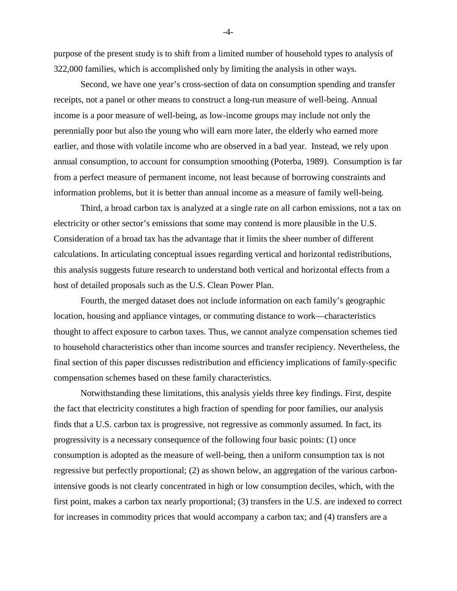purpose of the present study is to shift from a limited number of household types to analysis of 322,000 families, which is accomplished only by limiting the analysis in other ways.

Second, we have one year's cross-section of data on consumption spending and transfer receipts, not a panel or other means to construct a long-run measure of well-being. Annual income is a poor measure of well-being, as low-income groups may include not only the perennially poor but also the young who will earn more later, the elderly who earned more earlier, and those with volatile income who are observed in a bad year. Instead, we rely upon annual consumption, to account for consumption smoothing (Poterba, 1989). Consumption is far from a perfect measure of permanent income, not least because of borrowing constraints and information problems, but it is better than annual income as a measure of family well-being.

Third, a broad carbon tax is analyzed at a single rate on all carbon emissions, not a tax on electricity or other sector's emissions that some may contend is more plausible in the U.S. Consideration of a broad tax has the advantage that it limits the sheer number of different calculations. In articulating conceptual issues regarding vertical and horizontal redistributions, this analysis suggests future research to understand both vertical and horizontal effects from a host of detailed proposals such as the U.S. Clean Power Plan.

Fourth, the merged dataset does not include information on each family's geographic location, housing and appliance vintages, or commuting distance to work—characteristics thought to affect exposure to carbon taxes. Thus, we cannot analyze compensation schemes tied to household characteristics other than income sources and transfer recipiency. Nevertheless, the final section of this paper discusses redistribution and efficiency implications of family-specific compensation schemes based on these family characteristics.

Notwithstanding these limitations, this analysis yields three key findings. First, despite the fact that electricity constitutes a high fraction of spending for poor families, our analysis finds that a U.S. carbon tax is progressive, not regressive as commonly assumed. In fact, its progressivity is a necessary consequence of the following four basic points: (1) once consumption is adopted as the measure of well-being, then a uniform consumption tax is not regressive but perfectly proportional; (2) as shown below, an aggregation of the various carbonintensive goods is not clearly concentrated in high or low consumption deciles, which, with the first point, makes a carbon tax nearly proportional; (3) transfers in the U.S. are indexed to correct for increases in commodity prices that would accompany a carbon tax; and (4) transfers are a

-4-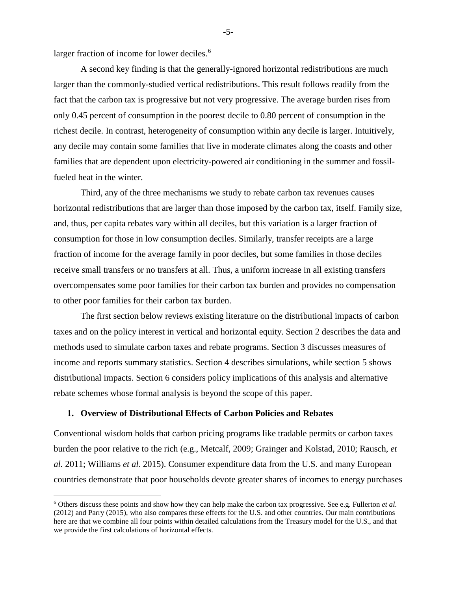larger fraction of income for lower deciles.<sup>[6](#page-6-0)</sup>

A second key finding is that the generally-ignored horizontal redistributions are much larger than the commonly-studied vertical redistributions. This result follows readily from the fact that the carbon tax is progressive but not very progressive. The average burden rises from only 0.45 percent of consumption in the poorest decile to 0.80 percent of consumption in the richest decile. In contrast, heterogeneity of consumption within any decile is larger. Intuitively, any decile may contain some families that live in moderate climates along the coasts and other families that are dependent upon electricity-powered air conditioning in the summer and fossilfueled heat in the winter.

Third, any of the three mechanisms we study to rebate carbon tax revenues causes horizontal redistributions that are larger than those imposed by the carbon tax, itself. Family size, and, thus, per capita rebates vary within all deciles, but this variation is a larger fraction of consumption for those in low consumption deciles. Similarly, transfer receipts are a large fraction of income for the average family in poor deciles, but some families in those deciles receive small transfers or no transfers at all. Thus, a uniform increase in all existing transfers overcompensates some poor families for their carbon tax burden and provides no compensation to other poor families for their carbon tax burden.

The first section below reviews existing literature on the distributional impacts of carbon taxes and on the policy interest in vertical and horizontal equity. Section 2 describes the data and methods used to simulate carbon taxes and rebate programs. Section 3 discusses measures of income and reports summary statistics. Section 4 describes simulations, while section 5 shows distributional impacts. Section 6 considers policy implications of this analysis and alternative rebate schemes whose formal analysis is beyond the scope of this paper.

#### **1. Overview of Distributional Effects of Carbon Policies and Rebates**

 $\overline{a}$ 

Conventional wisdom holds that carbon pricing programs like tradable permits or carbon taxes burden the poor relative to the rich (e.g., Metcalf, 2009; Grainger and Kolstad, 2010; Rausch, *et al.* 2011; Williams *et al*. 2015). Consumer expenditure data from the U.S. and many European countries demonstrate that poor households devote greater shares of incomes to energy purchases

-5-

<span id="page-6-0"></span><sup>6</sup> Others discuss these points and show how they can help make the carbon tax progressive. See e.g. Fullerton *et al*. (2012) and Parry (2015), who also compares these effects for the U.S. and other countries. Our main contributions here are that we combine all four points within detailed calculations from the Treasury model for the U.S., and that we provide the first calculations of horizontal effects.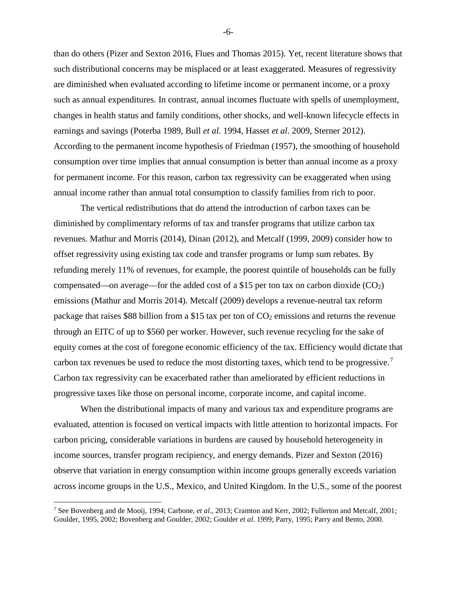than do others (Pizer and Sexton 2016, Flues and Thomas 2015). Yet, recent literature shows that such distributional concerns may be misplaced or at least exaggerated. Measures of regressivity are diminished when evaluated according to lifetime income or permanent income, or a proxy such as annual expenditures. In contrast, annual incomes fluctuate with spells of unemployment, changes in health status and family conditions, other shocks, and well-known lifecycle effects in earnings and savings (Poterba 1989, Bull *et al.* 1994, Hasset *et al*. 2009, Sterner 2012). According to the permanent income hypothesis of Friedman (1957), the smoothing of household consumption over time implies that annual consumption is better than annual income as a proxy for permanent income. For this reason, carbon tax regressivity can be exaggerated when using annual income rather than annual total consumption to classify families from rich to poor.

The vertical redistributions that do attend the introduction of carbon taxes can be diminished by complimentary reforms of tax and transfer programs that utilize carbon tax revenues. Mathur and Morris (2014), Dinan (2012), and Metcalf (1999, 2009) consider how to offset regressivity using existing tax code and transfer programs or lump sum rebates. By refunding merely 11% of revenues, for example, the poorest quintile of households can be fully compensated—on average—for the added cost of a \$15 per ton tax on carbon dioxide  $(CO<sub>2</sub>)$ emissions (Mathur and Morris 2014). Metcalf (2009) develops a revenue-neutral tax reform package that raises \$88 billion from a \$15 tax per ton of  $CO<sub>2</sub>$  emissions and returns the revenue through an EITC of up to \$560 per worker. However, such revenue recycling for the sake of equity comes at the cost of foregone economic efficiency of the tax. Efficiency would dictate that carbon tax revenues be used to reduce the most distorting taxes, which tend to be progressive.<sup>[7](#page-7-0)</sup> Carbon tax regressivity can be exacerbated rather than ameliorated by efficient reductions in progressive taxes like those on personal income, corporate income, and capital income.

When the distributional impacts of many and various tax and expenditure programs are evaluated, attention is focused on vertical impacts with little attention to horizontal impacts. For carbon pricing, considerable variations in burdens are caused by household heterogeneity in income sources, transfer program recipiency, and energy demands. Pizer and Sexton (2016) observe that variation in energy consumption within income groups generally exceeds variation across income groups in the U.S., Mexico, and United Kingdom. In the U.S., some of the poorest

 $\overline{a}$ 

-6-

<span id="page-7-0"></span><sup>7</sup> See Bovenberg and de Mooij, 1994; Carbone, *et al*., 2013; Cramton and Kerr, 2002; Fullerton and Metcalf, 2001; Goulder, 1995, 2002; Bovenberg and Goulder, 2002; Goulder *et al*. 1999; Parry, 1995; Parry and Bento, 2000.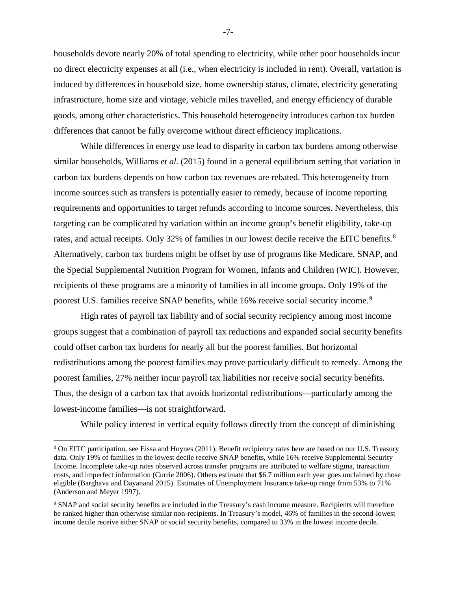households devote nearly 20% of total spending to electricity, while other poor households incur no direct electricity expenses at all (i.e., when electricity is included in rent). Overall, variation is induced by differences in household size, home ownership status, climate, electricity generating infrastructure, home size and vintage, vehicle miles travelled, and energy efficiency of durable goods, among other characteristics. This household heterogeneity introduces carbon tax burden differences that cannot be fully overcome without direct efficiency implications.

While differences in energy use lead to disparity in carbon tax burdens among otherwise similar households, Williams *et al*. (2015) found in a general equilibrium setting that variation in carbon tax burdens depends on how carbon tax revenues are rebated. This heterogeneity from income sources such as transfers is potentially easier to remedy, because of income reporting requirements and opportunities to target refunds according to income sources. Nevertheless, this targeting can be complicated by variation within an income group's benefit eligibility, take-up rates, and actual receipts. Only 32% of families in our lowest decile receive the EITC benefits.<sup>[8](#page-8-0)</sup> Alternatively, carbon tax burdens might be offset by use of programs like Medicare, SNAP, and the Special Supplemental Nutrition Program for Women, Infants and Children (WIC). However, recipients of these programs are a minority of families in all income groups. Only 19% of the poorest U.S. families receive SNAP benefits, while 16% receive social security income.<sup>[9](#page-8-1)</sup>

High rates of payroll tax liability and of social security recipiency among most income groups suggest that a combination of payroll tax reductions and expanded social security benefits could offset carbon tax burdens for nearly all but the poorest families. But horizontal redistributions among the poorest families may prove particularly difficult to remedy. Among the poorest families, 27% neither incur payroll tax liabilities nor receive social security benefits. Thus, the design of a carbon tax that avoids horizontal redistributions—particularly among the lowest-income families—is not straightforward.

While policy interest in vertical equity follows directly from the concept of diminishing

 $\overline{a}$ 

-7-

<span id="page-8-0"></span><sup>8</sup> On EITC participation, see Eissa and Hoynes (2011). Benefit recipiency rates here are based on our U.S. Treasury data. Only 19% of families in the lowest decile receive SNAP benefits, while 16% receive Supplemental Security Income. Incomplete take-up rates observed across transfer programs are attributed to welfare stigma, transaction costs, and imperfect information (Currie 2006). Others estimate that \$6.7 million each year goes unclaimed by those eligible (Barghava and Dayanand 2015). Estimates of Unemployment Insurance take-up range from 53% to 71% (Anderson and Meyer 1997).

<span id="page-8-1"></span><sup>&</sup>lt;sup>9</sup> SNAP and social security benefits are included in the Treasury's cash income measure. Recipients will therefore be ranked higher than otherwise similar non-recipients. In Treasury's model, 46% of families in the second-lowest income decile receive either SNAP or social security benefits, compared to 33% in the lowest income decile.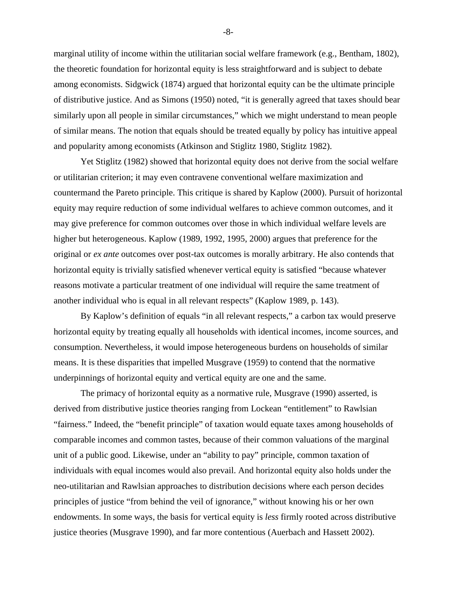marginal utility of income within the utilitarian social welfare framework (e.g., Bentham, 1802), the theoretic foundation for horizontal equity is less straightforward and is subject to debate among economists. Sidgwick (1874) argued that horizontal equity can be the ultimate principle of distributive justice. And as Simons (1950) noted, "it is generally agreed that taxes should bear similarly upon all people in similar circumstances," which we might understand to mean people of similar means. The notion that equals should be treated equally by policy has intuitive appeal and popularity among economists (Atkinson and Stiglitz 1980, Stiglitz 1982).

Yet Stiglitz (1982) showed that horizontal equity does not derive from the social welfare or utilitarian criterion; it may even contravene conventional welfare maximization and countermand the Pareto principle. This critique is shared by Kaplow (2000). Pursuit of horizontal equity may require reduction of some individual welfares to achieve common outcomes, and it may give preference for common outcomes over those in which individual welfare levels are higher but heterogeneous. Kaplow (1989, 1992, 1995, 2000) argues that preference for the original or *ex ante* outcomes over post-tax outcomes is morally arbitrary. He also contends that horizontal equity is trivially satisfied whenever vertical equity is satisfied "because whatever reasons motivate a particular treatment of one individual will require the same treatment of another individual who is equal in all relevant respects" (Kaplow 1989, p. 143).

By Kaplow's definition of equals "in all relevant respects," a carbon tax would preserve horizontal equity by treating equally all households with identical incomes, income sources, and consumption. Nevertheless, it would impose heterogeneous burdens on households of similar means. It is these disparities that impelled Musgrave (1959) to contend that the normative underpinnings of horizontal equity and vertical equity are one and the same.

The primacy of horizontal equity as a normative rule, Musgrave (1990) asserted, is derived from distributive justice theories ranging from Lockean "entitlement" to Rawlsian "fairness." Indeed, the "benefit principle" of taxation would equate taxes among households of comparable incomes and common tastes, because of their common valuations of the marginal unit of a public good. Likewise, under an "ability to pay" principle, common taxation of individuals with equal incomes would also prevail. And horizontal equity also holds under the neo-utilitarian and Rawlsian approaches to distribution decisions where each person decides principles of justice "from behind the veil of ignorance," without knowing his or her own endowments. In some ways, the basis for vertical equity is *less* firmly rooted across distributive justice theories (Musgrave 1990), and far more contentious (Auerbach and Hassett 2002).

-8-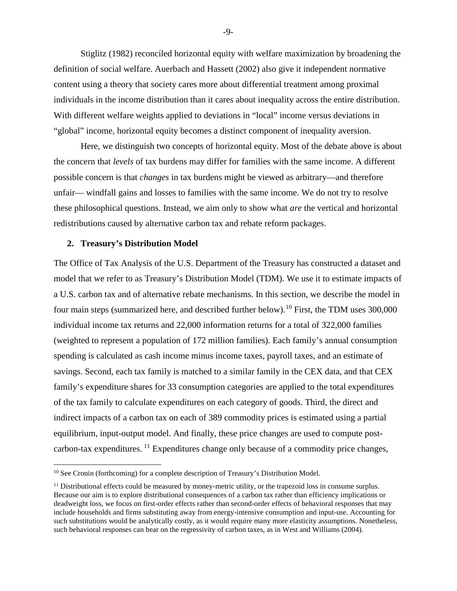Stiglitz (1982) reconciled horizontal equity with welfare maximization by broadening the definition of social welfare. Auerbach and Hassett (2002) also give it independent normative content using a theory that society cares more about differential treatment among proximal individuals in the income distribution than it cares about inequality across the entire distribution. With different welfare weights applied to deviations in "local" income versus deviations in "global" income, horizontal equity becomes a distinct component of inequality aversion.

Here, we distinguish two concepts of horizontal equity. Most of the debate above is about the concern that *levels* of tax burdens may differ for families with the same income. A different possible concern is that *changes* in tax burdens might be viewed as arbitrary—and therefore unfair— windfall gains and losses to families with the same income. We do not try to resolve these philosophical questions. Instead, we aim only to show what *are* the vertical and horizontal redistributions caused by alternative carbon tax and rebate reform packages.

#### **2. Treasury's Distribution Model**

 $\overline{a}$ 

The Office of Tax Analysis of the U.S. Department of the Treasury has constructed a dataset and model that we refer to as Treasury's Distribution Model (TDM). We use it to estimate impacts of a U.S. carbon tax and of alternative rebate mechanisms. In this section, we describe the model in four main steps (summarized here, and described further below).<sup>[10](#page-10-0)</sup> First, the TDM uses 300,000 individual income tax returns and 22,000 information returns for a total of 322,000 families (weighted to represent a population of 172 million families). Each family's annual consumption spending is calculated as cash income minus income taxes, payroll taxes, and an estimate of savings. Second, each tax family is matched to a similar family in the CEX data, and that CEX family's expenditure shares for 33 consumption categories are applied to the total expenditures of the tax family to calculate expenditures on each category of goods. Third, the direct and indirect impacts of a carbon tax on each of 389 commodity prices is estimated using a partial equilibrium, input-output model. And finally, these price changes are used to compute postcarbon-tax expenditures. [11](#page-10-1) Expenditures change only because of a commodity price changes,

-9-

<span id="page-10-0"></span><sup>&</sup>lt;sup>10</sup> See Cronin (forthcoming) for a complete description of Treasury's Distribution Model.

<span id="page-10-1"></span><sup>&</sup>lt;sup>11</sup> Distributional effects could be measured by money-metric utility, or the trapezoid loss in consume surplus. Because our aim is to explore distributional consequences of a carbon tax rather than efficiency implications or deadweight loss, we focus on first-order effects rather than second-order effects of behavioral responses that may include households and firms substituting away from energy-intensive consumption and input-use. Accounting for such substitutions would be analytically costly, as it would require many more elasticity assumptions. Nonetheless, such behavioral responses can bear on the regressivity of carbon taxes, as in West and Williams (2004).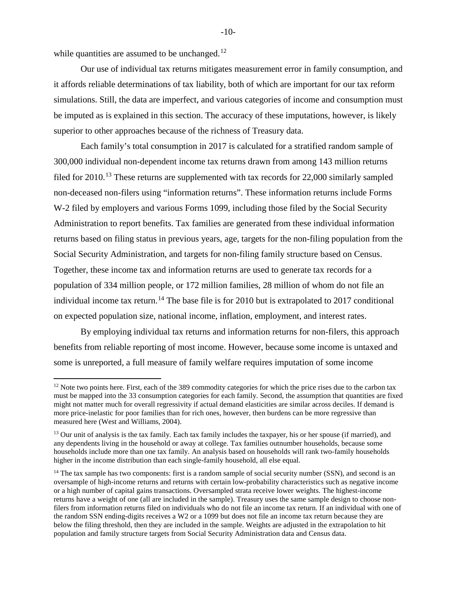while quantities are assumed to be unchanged. $12$ 

 $\overline{a}$ 

 Our use of individual tax returns mitigates measurement error in family consumption, and it affords reliable determinations of tax liability, both of which are important for our tax reform simulations. Still, the data are imperfect, and various categories of income and consumption must be imputed as is explained in this section. The accuracy of these imputations, however, is likely superior to other approaches because of the richness of Treasury data.

Each family's total consumption in 2017 is calculated for a stratified random sample of 300,000 individual non-dependent income tax returns drawn from among 143 million returns filed for  $2010$ .<sup>13</sup> These returns are supplemented with tax records for  $22,000$  similarly sampled non-deceased non-filers using "information returns". These information returns include Forms W-2 filed by employers and various Forms 1099, including those filed by the Social Security Administration to report benefits. Tax families are generated from these individual information returns based on filing status in previous years, age, targets for the non-filing population from the Social Security Administration, and targets for non-filing family structure based on Census. Together, these income tax and information returns are used to generate tax records for a population of 334 million people, or 172 million families, 28 million of whom do not file an individual income tax return.<sup>[14](#page-11-2)</sup> The base file is for 2010 but is extrapolated to 2017 conditional on expected population size, national income, inflation, employment, and interest rates.

By employing individual tax returns and information returns for non-filers, this approach benefits from reliable reporting of most income. However, because some income is untaxed and some is unreported, a full measure of family welfare requires imputation of some income

 $-10-$ 

<span id="page-11-0"></span> $12$  Note two points here. First, each of the 389 commodity categories for which the price rises due to the carbon tax must be mapped into the 33 consumption categories for each family. Second, the assumption that quantities are fixed might not matter much for overall regressivity if actual demand elasticities are similar across deciles. If demand is more price-inelastic for poor families than for rich ones, however, then burdens can be more regressive than measured here (West and Williams, 2004).

<span id="page-11-1"></span><sup>&</sup>lt;sup>13</sup> Our unit of analysis is the tax family. Each tax family includes the taxpayer, his or her spouse (if married), and any dependents living in the household or away at college. Tax families outnumber households, because some households include more than one tax family. An analysis based on households will rank two-family households higher in the income distribution than each single-family household, all else equal.

<span id="page-11-2"></span> $<sup>14</sup>$  The tax sample has two components: first is a random sample of social security number (SSN), and second is an</sup> oversample of high-income returns and returns with certain low-probability characteristics such as negative income or a high number of capital gains transactions. Oversampled strata receive lower weights. The highest-income returns have a weight of one (all are included in the sample). Treasury uses the same sample design to choose nonfilers from information returns filed on individuals who do not file an income tax return. If an individual with one of the random SSN ending-digits receives a W2 or a 1099 but does not file an income tax return because they are below the filing threshold, then they are included in the sample. Weights are adjusted in the extrapolation to hit population and family structure targets from Social Security Administration data and Census data.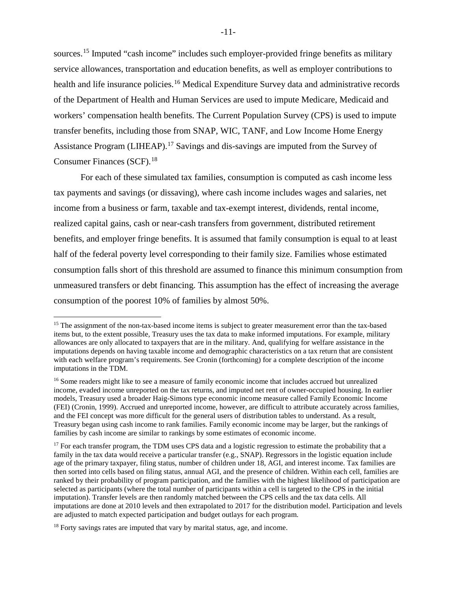sources.<sup>15</sup> Imputed "cash income" includes such employer-provided fringe benefits as military service allowances, transportation and education benefits, as well as employer contributions to health and life insurance policies.<sup>16</sup> Medical Expenditure Survey data and administrative records of the Department of Health and Human Services are used to impute Medicare, Medicaid and workers' compensation health benefits. The Current Population Survey (CPS) is used to impute transfer benefits, including those from SNAP, WIC, TANF, and Low Income Home Energy Assistance Program (LIHEAP).<sup>17</sup> Savings and dis-savings are imputed from the Survey of Consumer Finances (SCF). [18](#page-12-3) 

For each of these simulated tax families, consumption is computed as cash income less tax payments and savings (or dissaving), where cash income includes wages and salaries, net income from a business or farm, taxable and tax-exempt interest, dividends, rental income, realized capital gains, cash or near-cash transfers from government, distributed retirement benefits, and employer fringe benefits. It is assumed that family consumption is equal to at least half of the federal poverty level corresponding to their family size. Families whose estimated consumption falls short of this threshold are assumed to finance this minimum consumption from unmeasured transfers or debt financing. This assumption has the effect of increasing the average consumption of the poorest 10% of families by almost 50%.

 $\overline{a}$ 

<span id="page-12-0"></span><sup>&</sup>lt;sup>15</sup> The assignment of the non-tax-based income items is subject to greater measurement error than the tax-based items but, to the extent possible, Treasury uses the tax data to make informed imputations. For example, military allowances are only allocated to taxpayers that are in the military. And, qualifying for welfare assistance in the imputations depends on having taxable income and demographic characteristics on a tax return that are consistent with each welfare program's requirements. See Cronin (forthcoming) for a complete description of the income imputations in the TDM.

<span id="page-12-1"></span><sup>&</sup>lt;sup>16</sup> Some readers might like to see a measure of family economic income that includes accrued but unrealized income, evaded income unreported on the tax returns, and imputed net rent of owner-occupied housing. In earlier models, Treasury used a broader Haig-Simons type economic income measure called Family Economic Income (FEI) (Cronin, 1999). Accrued and unreported income, however, are difficult to attribute accurately across families, and the FEI concept was more difficult for the general users of distribution tables to understand. As a result, Treasury began using cash income to rank families. Family economic income may be larger, but the rankings of families by cash income are similar to rankings by some estimates of economic income.

<span id="page-12-2"></span><sup>&</sup>lt;sup>17</sup> For each transfer program, the TDM uses CPS data and a logistic regression to estimate the probability that a family in the tax data would receive a particular transfer (e.g., SNAP). Regressors in the logistic equation include age of the primary taxpayer, filing status, number of children under 18, AGI, and interest income. Tax families are then sorted into cells based on filing status, annual AGI, and the presence of children. Within each cell, families are ranked by their probability of program participation, and the families with the highest likelihood of participation are selected as participants (where the total number of participants within a cell is targeted to the CPS in the initial imputation). Transfer levels are then randomly matched between the CPS cells and the tax data cells. All imputations are done at 2010 levels and then extrapolated to 2017 for the distribution model. Participation and levels are adjusted to match expected participation and budget outlays for each program.

<span id="page-12-3"></span><sup>&</sup>lt;sup>18</sup> Forty savings rates are imputed that vary by marital status, age, and income.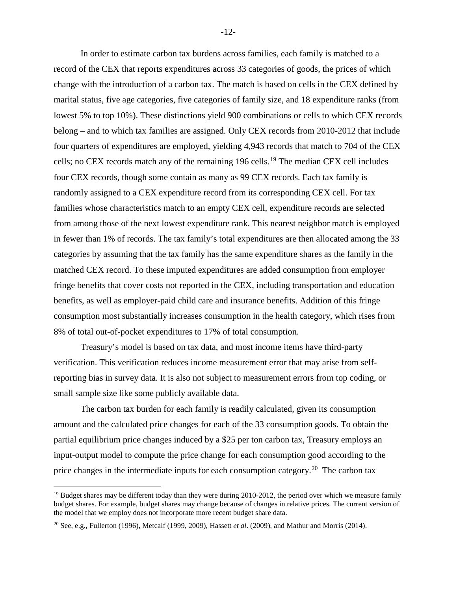In order to estimate carbon tax burdens across families, each family is matched to a record of the CEX that reports expenditures across 33 categories of goods, the prices of which change with the introduction of a carbon tax. The match is based on cells in the CEX defined by marital status, five age categories, five categories of family size, and 18 expenditure ranks (from lowest 5% to top 10%). These distinctions yield 900 combinations or cells to which CEX records belong – and to which tax families are assigned. Only CEX records from 2010-2012 that include four quarters of expenditures are employed, yielding 4,943 records that match to 704 of the CEX cells; no CEX records match any of the remaining [19](#page-13-0)6 cells.<sup>19</sup> The median CEX cell includes four CEX records, though some contain as many as 99 CEX records. Each tax family is randomly assigned to a CEX expenditure record from its corresponding CEX cell. For tax families whose characteristics match to an empty CEX cell, expenditure records are selected from among those of the next lowest expenditure rank. This nearest neighbor match is employed in fewer than 1% of records. The tax family's total expenditures are then allocated among the 33 categories by assuming that the tax family has the same expenditure shares as the family in the matched CEX record. To these imputed expenditures are added consumption from employer fringe benefits that cover costs not reported in the CEX, including transportation and education benefits, as well as employer-paid child care and insurance benefits. Addition of this fringe consumption most substantially increases consumption in the health category, which rises from 8% of total out-of-pocket expenditures to 17% of total consumption.

Treasury's model is based on tax data, and most income items have third-party verification. This verification reduces income measurement error that may arise from selfreporting bias in survey data. It is also not subject to measurement errors from top coding, or small sample size like some publicly available data.

The carbon tax burden for each family is readily calculated, given its consumption amount and the calculated price changes for each of the 33 consumption goods. To obtain the partial equilibrium price changes induced by a \$25 per ton carbon tax, Treasury employs an input-output model to compute the price change for each consumption good according to the price changes in the intermediate inputs for each consumption category.<sup>20</sup> The carbon tax

 $\overline{a}$ 

-12-

<span id="page-13-0"></span><sup>&</sup>lt;sup>19</sup> Budget shares may be different today than they were during 2010-2012, the period over which we measure family budget shares. For example, budget shares may change because of changes in relative prices. The current version of the model that we employ does not incorporate more recent budget share data.

<span id="page-13-1"></span><sup>20</sup> See, e.g., Fullerton (1996), Metcalf (1999, 2009), Hassett *et al*. (2009), and Mathur and Morris (2014).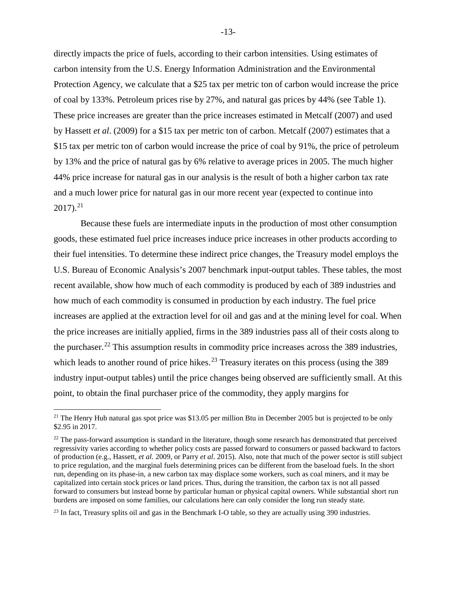directly impacts the price of fuels, according to their carbon intensities. Using estimates of carbon intensity from the U.S. Energy Information Administration and the Environmental Protection Agency, we calculate that a \$25 tax per metric ton of carbon would increase the price of coal by 133%. Petroleum prices rise by 27%, and natural gas prices by 44% (see Table 1). These price increases are greater than the price increases estimated in Metcalf (2007) and used by Hassett *et al*. (2009) for a \$15 tax per metric ton of carbon. Metcalf (2007) estimates that a \$15 tax per metric ton of carbon would increase the price of coal by 91%, the price of petroleum by 13% and the price of natural gas by 6% relative to average prices in 2005. The much higher 44% price increase for natural gas in our analysis is the result of both a higher carbon tax rate and a much lower price for natural gas in our more recent year (expected to continue into  $2017$ ).<sup>21</sup>

Because these fuels are intermediate inputs in the production of most other consumption goods, these estimated fuel price increases induce price increases in other products according to their fuel intensities. To determine these indirect price changes, the Treasury model employs the U.S. Bureau of Economic Analysis's 2007 benchmark input-output tables. These tables, the most recent available, show how much of each commodity is produced by each of 389 industries and how much of each commodity is consumed in production by each industry. The fuel price increases are applied at the extraction level for oil and gas and at the mining level for coal. When the price increases are initially applied, firms in the 389 industries pass all of their costs along to the purchaser.<sup>22</sup> This assumption results in commodity price increases across the 389 industries, which leads to another round of price hikes.<sup>[23](#page-14-2)</sup> Treasury iterates on this process (using the 389 industry input-output tables) until the price changes being observed are sufficiently small. At this point, to obtain the final purchaser price of the commodity, they apply margins for

 $\overline{a}$ 

<span id="page-14-2"></span><sup>23</sup> In fact, Treasury splits oil and gas in the Benchmark I-O table, so they are actually using 390 industries.

-13-

<span id="page-14-0"></span><sup>&</sup>lt;sup>21</sup> The Henry Hub natural gas spot price was \$13.05 per million Btu in December 2005 but is projected to be only \$2.95 in 2017.

<span id="page-14-1"></span> $22$  The pass-forward assumption is standard in the literature, though some research has demonstrated that perceived regressivity varies according to whether policy costs are passed forward to consumers or passed backward to factors of production (e.g., Hassett*, et al.* 2009, or Parry *et al*. 2015). Also, note that much of the power sector is still subject to price regulation, and the marginal fuels determining prices can be different from the baseload fuels. In the short run, depending on its phase-in, a new carbon tax may displace some workers, such as coal miners, and it may be capitalized into certain stock prices or land prices. Thus, during the transition, the carbon tax is not all passed forward to consumers but instead borne by particular human or physical capital owners. While substantial short run burdens are imposed on some families, our calculations here can only consider the long run steady state.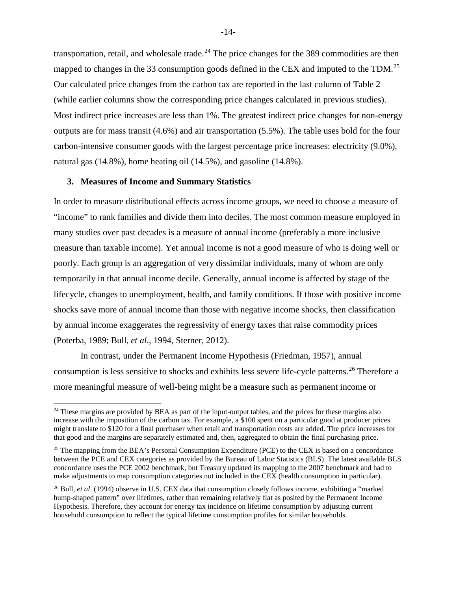transportation, retail, and wholesale trade.<sup>[24](#page-15-0)</sup> The price changes for the 389 commodities are then mapped to changes in the 33 consumption goods defined in the CEX and imputed to the TDM.<sup>[25](#page-15-1)</sup> Our calculated price changes from the carbon tax are reported in the last column of Table 2 (while earlier columns show the corresponding price changes calculated in previous studies). Most indirect price increases are less than 1%. The greatest indirect price changes for non-energy outputs are for mass transit (4.6%) and air transportation (5.5%). The table uses bold for the four carbon-intensive consumer goods with the largest percentage price increases: electricity (9.0%), natural gas (14.8%), home heating oil (14.5%), and gasoline (14.8%).

#### **3. Measures of Income and Summary Statistics**

 $\overline{a}$ 

In order to measure distributional effects across income groups, we need to choose a measure of "income" to rank families and divide them into deciles. The most common measure employed in many studies over past decades is a measure of annual income (preferably a more inclusive measure than taxable income). Yet annual income is not a good measure of who is doing well or poorly. Each group is an aggregation of very dissimilar individuals, many of whom are only temporarily in that annual income decile. Generally, annual income is affected by stage of the lifecycle, changes to unemployment, health, and family conditions. If those with positive income shocks save more of annual income than those with negative income shocks, then classification by annual income exaggerates the regressivity of energy taxes that raise commodity prices (Poterba, 1989; Bull, *et al*., 1994, Sterner, 2012).

In contrast, under the Permanent Income Hypothesis (Friedman, 1957), annual consumption is less sensitive to shocks and exhibits less severe life-cycle patterns.<sup>[26](#page-15-2)</sup> Therefore a more meaningful measure of well-being might be a measure such as permanent income or

<span id="page-15-0"></span><sup>&</sup>lt;sup>24</sup> These margins are provided by BEA as part of the input-output tables, and the prices for these margins also increase with the imposition of the carbon tax. For example, a \$100 spent on a particular good at producer prices might translate to \$120 for a final purchaser when retail and transportation costs are added. The price increases for that good and the margins are separately estimated and, then, aggregated to obtain the final purchasing price.

<span id="page-15-1"></span><sup>&</sup>lt;sup>25</sup> The mapping from the BEA's Personal Consumption Expenditure (PCE) to the CEX is based on a concordance between the PCE and CEX categories as provided by the Bureau of Labor Statistics (BLS). The latest available BLS concordance uses the PCE 2002 benchmark, but Treasury updated its mapping to the 2007 benchmark and had to make adjustments to map consumption categories not included in the CEX (health consumption in particular).

<span id="page-15-2"></span><sup>26</sup> Bull, *et al*. (1994) observe in U.S. CEX data that consumption closely follows income, exhibiting a "marked hump-shaped pattern" over lifetimes, rather than remaining relatively flat as posited by the Permanent Income Hypothesis. Therefore, they account for energy tax incidence on lifetime consumption by adjusting current household consumption to reflect the typical lifetime consumption profiles for similar households.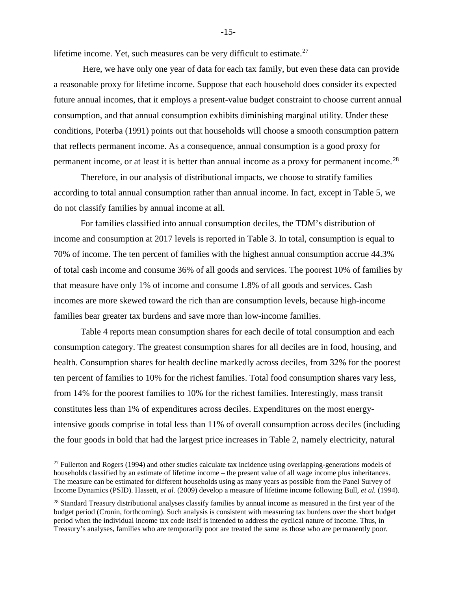lifetime income. Yet, such measures can be very difficult to estimate. $27$ 

Here, we have only one year of data for each tax family, but even these data can provide a reasonable proxy for lifetime income. Suppose that each household does consider its expected future annual incomes, that it employs a present-value budget constraint to choose current annual consumption, and that annual consumption exhibits diminishing marginal utility. Under these conditions, Poterba (1991) points out that households will choose a smooth consumption pattern that reflects permanent income. As a consequence, annual consumption is a good proxy for permanent income, or at least it is better than annual income as a proxy for permanent income.<sup>28</sup>

Therefore, in our analysis of distributional impacts, we choose to stratify families according to total annual consumption rather than annual income. In fact, except in Table 5, we do not classify families by annual income at all.

For families classified into annual consumption deciles, the TDM's distribution of income and consumption at 2017 levels is reported in Table 3. In total, consumption is equal to 70% of income. The ten percent of families with the highest annual consumption accrue 44.3% of total cash income and consume 36% of all goods and services. The poorest 10% of families by that measure have only 1% of income and consume 1.8% of all goods and services. Cash incomes are more skewed toward the rich than are consumption levels, because high-income families bear greater tax burdens and save more than low-income families.

Table 4 reports mean consumption shares for each decile of total consumption and each consumption category. The greatest consumption shares for all deciles are in food, housing, and health. Consumption shares for health decline markedly across deciles, from 32% for the poorest ten percent of families to 10% for the richest families. Total food consumption shares vary less, from 14% for the poorest families to 10% for the richest families. Interestingly, mass transit constitutes less than 1% of expenditures across deciles. Expenditures on the most energyintensive goods comprise in total less than 11% of overall consumption across deciles (including the four goods in bold that had the largest price increases in Table 2, namely electricity, natural

 $\overline{a}$ 

-15-

<span id="page-16-0"></span> $27$  Fullerton and Rogers (1994) and other studies calculate tax incidence using overlapping-generations models of households classified by an estimate of lifetime income – the present value of all wage income plus inheritances. The measure can be estimated for different households using as many years as possible from the Panel Survey of Income Dynamics (PSID). Hassett, *et al.* (2009) develop a measure of lifetime income following Bull, *et al.* (1994).

<span id="page-16-1"></span><sup>&</sup>lt;sup>28</sup> Standard Treasury distributional analyses classify families by annual income as measured in the first year of the budget period (Cronin, forthcoming). Such analysis is consistent with measuring tax burdens over the short budget period when the individual income tax code itself is intended to address the cyclical nature of income. Thus, in Treasury's analyses, families who are temporarily poor are treated the same as those who are permanently poor.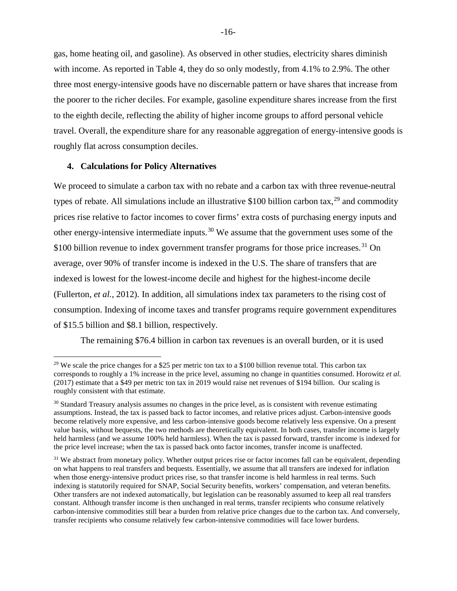gas, home heating oil, and gasoline). As observed in other studies, electricity shares diminish with income. As reported in Table 4, they do so only modestly, from 4.1% to 2.9%. The other three most energy-intensive goods have no discernable pattern or have shares that increase from the poorer to the richer deciles. For example, gasoline expenditure shares increase from the first to the eighth decile, reflecting the ability of higher income groups to afford personal vehicle travel. Overall, the expenditure share for any reasonable aggregation of energy-intensive goods is roughly flat across consumption deciles.

#### **4. Calculations for Policy Alternatives**

 $\overline{a}$ 

We proceed to simulate a carbon tax with no rebate and a carbon tax with three revenue-neutral types of rebate. All simulations include an illustrative \$100 billion carbon tax.<sup>[29](#page-17-0)</sup> and commodity prices rise relative to factor incomes to cover firms' extra costs of purchasing energy inputs and other energy-intensive intermediate inputs.<sup>[30](#page-17-1)</sup> We assume that the government uses some of the \$100 billion revenue to index government transfer programs for those price increases.<sup>[31](#page-17-2)</sup> On average, over 90% of transfer income is indexed in the U.S. The share of transfers that are indexed is lowest for the lowest-income decile and highest for the highest-income decile (Fullerton, *et al.*, 2012). In addition, all simulations index tax parameters to the rising cost of consumption. Indexing of income taxes and transfer programs require government expenditures of \$15.5 billion and \$8.1 billion, respectively.

The remaining \$76.4 billion in carbon tax revenues is an overall burden, or it is used

<span id="page-17-0"></span><sup>&</sup>lt;sup>29</sup> We scale the price changes for a \$25 per metric ton tax to a \$100 billion revenue total. This carbon tax corresponds to roughly a 1% increase in the price level, assuming no change in quantities consumed. Horowitz *et al.* (2017) estimate that a \$49 per metric ton tax in 2019 would raise net revenues of \$194 billion. Our scaling is roughly consistent with that estimate.

<span id="page-17-1"></span><sup>30</sup> Standard Treasury analysis assumes no changes in the price level, as is consistent with revenue estimating assumptions. Instead, the tax is passed back to factor incomes, and relative prices adjust. Carbon-intensive goods become relatively more expensive, and less carbon-intensive goods become relatively less expensive. On a present value basis, without bequests, the two methods are theoretically equivalent. In both cases, transfer income is largely held harmless (and we assume 100% held harmless). When the tax is passed forward, transfer income is indexed for the price level increase; when the tax is passed back onto factor incomes, transfer income is unaffected.

<span id="page-17-2"></span><sup>&</sup>lt;sup>31</sup> We abstract from monetary policy. Whether output prices rise or factor incomes fall can be equivalent, depending on what happens to real transfers and bequests. Essentially, we assume that all transfers are indexed for inflation when those energy-intensive product prices rise, so that transfer income is held harmless in real terms. Such indexing is statutorily required for SNAP, Social Security benefits, workers' compensation, and veteran benefits. Other transfers are not indexed automatically, but legislation can be reasonably assumed to keep all real transfers constant. Although transfer income is then unchanged in real terms, transfer recipients who consume relatively carbon-intensive commodities still bear a burden from relative price changes due to the carbon tax. And conversely, transfer recipients who consume relatively few carbon-intensive commodities will face lower burdens.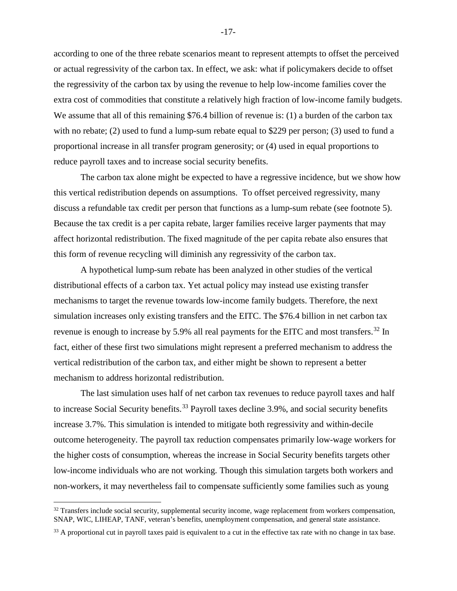according to one of the three rebate scenarios meant to represent attempts to offset the perceived or actual regressivity of the carbon tax. In effect, we ask: what if policymakers decide to offset the regressivity of the carbon tax by using the revenue to help low-income families cover the extra cost of commodities that constitute a relatively high fraction of low-income family budgets. We assume that all of this remaining \$76.4 billion of revenue is: (1) a burden of the carbon tax with no rebate; (2) used to fund a lump-sum rebate equal to \$229 per person; (3) used to fund a proportional increase in all transfer program generosity; or (4) used in equal proportions to reduce payroll taxes and to increase social security benefits.

The carbon tax alone might be expected to have a regressive incidence, but we show how this vertical redistribution depends on assumptions. To offset perceived regressivity, many discuss a refundable tax credit per person that functions as a lump-sum rebate (see footnote 5). Because the tax credit is a per capita rebate, larger families receive larger payments that may affect horizontal redistribution. The fixed magnitude of the per capita rebate also ensures that this form of revenue recycling will diminish any regressivity of the carbon tax.

A hypothetical lump-sum rebate has been analyzed in other studies of the vertical distributional effects of a carbon tax. Yet actual policy may instead use existing transfer mechanisms to target the revenue towards low-income family budgets. Therefore, the next simulation increases only existing transfers and the EITC. The \$76.4 billion in net carbon tax revenue is enough to increase by 5.9% all real payments for the EITC and most transfers.<sup>[32](#page-18-0)</sup> In fact, either of these first two simulations might represent a preferred mechanism to address the vertical redistribution of the carbon tax, and either might be shown to represent a better mechanism to address horizontal redistribution.

The last simulation uses half of net carbon tax revenues to reduce payroll taxes and half to increase Social Security benefits.<sup>[33](#page-18-1)</sup> Payroll taxes decline 3.9%, and social security benefits increase 3.7%. This simulation is intended to mitigate both regressivity and within-decile outcome heterogeneity. The payroll tax reduction compensates primarily low-wage workers for the higher costs of consumption, whereas the increase in Social Security benefits targets other low-income individuals who are not working. Though this simulation targets both workers and non-workers, it may nevertheless fail to compensate sufficiently some families such as young

 $\overline{a}$ 

-17-

<span id="page-18-0"></span><sup>&</sup>lt;sup>32</sup> Transfers include social security, supplemental security income, wage replacement from workers compensation, SNAP, WIC, LIHEAP, TANF, veteran's benefits, unemployment compensation, and general state assistance.

<span id="page-18-1"></span><sup>&</sup>lt;sup>33</sup> A proportional cut in payroll taxes paid is equivalent to a cut in the effective tax rate with no change in tax base.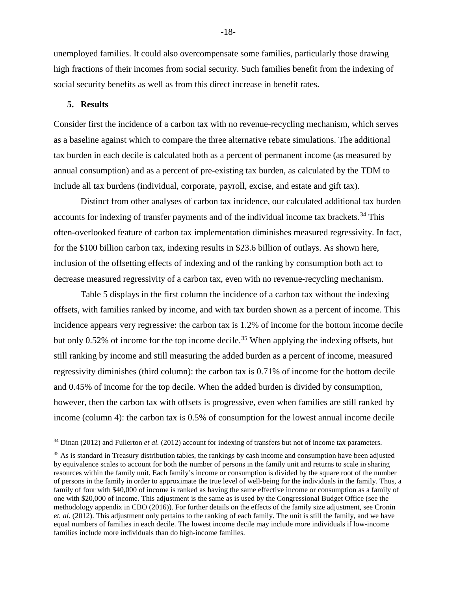unemployed families. It could also overcompensate some families, particularly those drawing high fractions of their incomes from social security. Such families benefit from the indexing of social security benefits as well as from this direct increase in benefit rates.

#### **5. Results**

 $\overline{a}$ 

Consider first the incidence of a carbon tax with no revenue-recycling mechanism, which serves as a baseline against which to compare the three alternative rebate simulations. The additional tax burden in each decile is calculated both as a percent of permanent income (as measured by annual consumption) and as a percent of pre-existing tax burden, as calculated by the TDM to include all tax burdens (individual, corporate, payroll, excise, and estate and gift tax).

Distinct from other analyses of carbon tax incidence, our calculated additional tax burden accounts for indexing of transfer payments and of the individual income tax brackets.<sup>[34](#page-19-0)</sup> This often-overlooked feature of carbon tax implementation diminishes measured regressivity. In fact, for the \$100 billion carbon tax, indexing results in \$23.6 billion of outlays. As shown here, inclusion of the offsetting effects of indexing and of the ranking by consumption both act to decrease measured regressivity of a carbon tax, even with no revenue-recycling mechanism.

Table 5 displays in the first column the incidence of a carbon tax without the indexing offsets, with families ranked by income, and with tax burden shown as a percent of income. This incidence appears very regressive: the carbon tax is 1.2% of income for the bottom income decile but only 0.52% of income for the top income decile.<sup>35</sup> When applying the indexing offsets, but still ranking by income and still measuring the added burden as a percent of income, measured regressivity diminishes (third column): the carbon tax is 0.71% of income for the bottom decile and 0.45% of income for the top decile. When the added burden is divided by consumption, however, then the carbon tax with offsets is progressive, even when families are still ranked by income (column 4): the carbon tax is 0.5% of consumption for the lowest annual income decile

<span id="page-19-0"></span><sup>&</sup>lt;sup>34</sup> Dinan (2012) and Fullerton *et al.* (2012) account for indexing of transfers but not of income tax parameters.

<span id="page-19-1"></span><sup>&</sup>lt;sup>35</sup> As is standard in Treasury distribution tables, the rankings by cash income and consumption have been adjusted by equivalence scales to account for both the number of persons in the family unit and returns to scale in sharing resources within the family unit. Each family's income or consumption is divided by the square root of the number of persons in the family in order to approximate the true level of well-being for the individuals in the family. Thus, a family of four with \$40,000 of income is ranked as having the same effective income or consumption as a family of one with \$20,000 of income. This adjustment is the same as is used by the Congressional Budget Office (see the methodology appendix in CBO (2016)). For further details on the effects of the family size adjustment, see Cronin *et. al*. (2012). This adjustment only pertains to the ranking of each family. The unit is still the family, and we have equal numbers of families in each decile. The lowest income decile may include more individuals if low-income families include more individuals than do high-income families.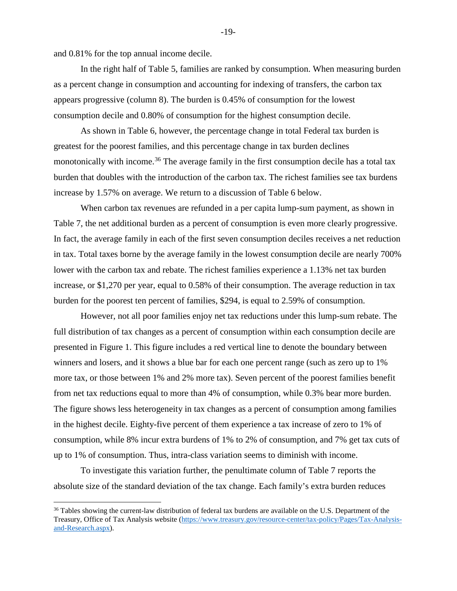and 0.81% for the top annual income decile.

 $\overline{a}$ 

In the right half of Table 5, families are ranked by consumption. When measuring burden as a percent change in consumption and accounting for indexing of transfers, the carbon tax appears progressive (column 8). The burden is 0.45% of consumption for the lowest consumption decile and 0.80% of consumption for the highest consumption decile.

As shown in Table 6, however, the percentage change in total Federal tax burden is greatest for the poorest families, and this percentage change in tax burden declines monotonically with income.<sup>[36](#page-20-0)</sup> The average family in the first consumption decile has a total tax burden that doubles with the introduction of the carbon tax. The richest families see tax burdens increase by 1.57% on average. We return to a discussion of Table 6 below.

When carbon tax revenues are refunded in a per capita lump-sum payment, as shown in Table 7, the net additional burden as a percent of consumption is even more clearly progressive. In fact, the average family in each of the first seven consumption deciles receives a net reduction in tax. Total taxes borne by the average family in the lowest consumption decile are nearly 700% lower with the carbon tax and rebate. The richest families experience a 1.13% net tax burden increase, or \$1,270 per year, equal to 0.58% of their consumption. The average reduction in tax burden for the poorest ten percent of families, \$294, is equal to 2.59% of consumption.

 However, not all poor families enjoy net tax reductions under this lump-sum rebate. The full distribution of tax changes as a percent of consumption within each consumption decile are presented in Figure 1. This figure includes a red vertical line to denote the boundary between winners and losers, and it shows a blue bar for each one percent range (such as zero up to 1% more tax, or those between 1% and 2% more tax). Seven percent of the poorest families benefit from net tax reductions equal to more than 4% of consumption, while 0.3% bear more burden. The figure shows less heterogeneity in tax changes as a percent of consumption among families in the highest decile. Eighty-five percent of them experience a tax increase of zero to 1% of consumption, while 8% incur extra burdens of 1% to 2% of consumption, and 7% get tax cuts of up to 1% of consumption. Thus, intra-class variation seems to diminish with income.

To investigate this variation further, the penultimate column of Table 7 reports the absolute size of the standard deviation of the tax change. Each family's extra burden reduces

-19-

<span id="page-20-0"></span><sup>&</sup>lt;sup>36</sup> Tables showing the current-law distribution of federal tax burdens are available on the U.S. Department of the Treasury, Office of Tax Analysis website [\(https://www.treasury.gov/resource-center/tax-policy/Pages/Tax-Analysis](https://www.treasury.gov/resource-center/tax-policy/Pages/Tax-Analysis-and-Research.aspx)[and-Research.aspx\)](https://www.treasury.gov/resource-center/tax-policy/Pages/Tax-Analysis-and-Research.aspx).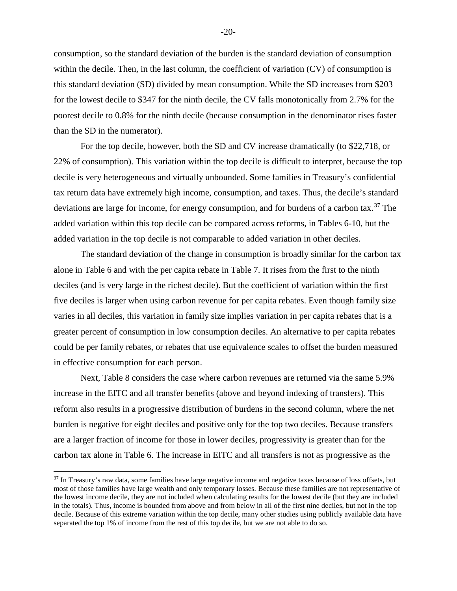consumption, so the standard deviation of the burden is the standard deviation of consumption within the decile. Then, in the last column, the coefficient of variation (CV) of consumption is this standard deviation (SD) divided by mean consumption. While the SD increases from \$203 for the lowest decile to \$347 for the ninth decile, the CV falls monotonically from 2.7% for the poorest decile to 0.8% for the ninth decile (because consumption in the denominator rises faster than the SD in the numerator).

For the top decile, however, both the SD and CV increase dramatically (to \$22,718, or 22% of consumption). This variation within the top decile is difficult to interpret, because the top decile is very heterogeneous and virtually unbounded. Some families in Treasury's confidential tax return data have extremely high income, consumption, and taxes. Thus, the decile's standard deviations are large for income, for energy consumption, and for burdens of a carbon tax.<sup>[37](#page-21-0)</sup> The added variation within this top decile can be compared across reforms, in Tables 6-10, but the added variation in the top decile is not comparable to added variation in other deciles.

 The standard deviation of the change in consumption is broadly similar for the carbon tax alone in Table 6 and with the per capita rebate in Table 7. It rises from the first to the ninth deciles (and is very large in the richest decile). But the coefficient of variation within the first five deciles is larger when using carbon revenue for per capita rebates. Even though family size varies in all deciles, this variation in family size implies variation in per capita rebates that is a greater percent of consumption in low consumption deciles. An alternative to per capita rebates could be per family rebates, or rebates that use equivalence scales to offset the burden measured in effective consumption for each person.

Next, Table 8 considers the case where carbon revenues are returned via the same 5.9% increase in the EITC and all transfer benefits (above and beyond indexing of transfers). This reform also results in a progressive distribution of burdens in the second column, where the net burden is negative for eight deciles and positive only for the top two deciles. Because transfers are a larger fraction of income for those in lower deciles, progressivity is greater than for the carbon tax alone in Table 6. The increase in EITC and all transfers is not as progressive as the

 $\overline{a}$ 

<span id="page-21-0"></span><sup>&</sup>lt;sup>37</sup> In Treasury's raw data, some families have large negative income and negative taxes because of loss offsets, but most of those families have large wealth and only temporary losses. Because these families are not representative of the lowest income decile, they are not included when calculating results for the lowest decile (but they are included in the totals). Thus, income is bounded from above and from below in all of the first nine deciles, but not in the top decile. Because of this extreme variation within the top decile, many other studies using publicly available data have separated the top 1% of income from the rest of this top decile, but we are not able to do so.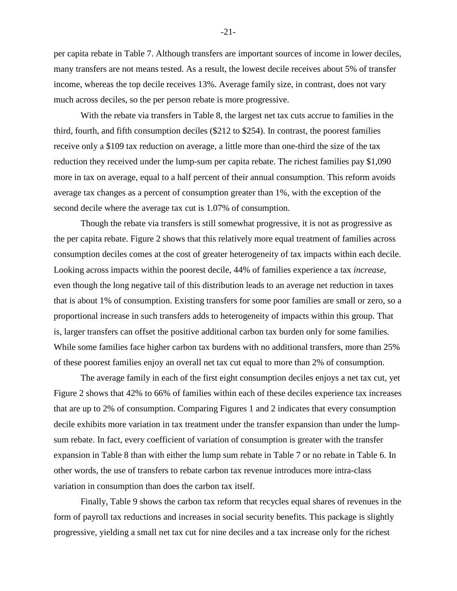per capita rebate in Table 7. Although transfers are important sources of income in lower deciles, many transfers are not means tested. As a result, the lowest decile receives about 5% of transfer income, whereas the top decile receives 13%. Average family size, in contrast, does not vary much across deciles, so the per person rebate is more progressive.

With the rebate via transfers in Table 8, the largest net tax cuts accrue to families in the third, fourth, and fifth consumption deciles (\$212 to \$254). In contrast, the poorest families receive only a \$109 tax reduction on average, a little more than one-third the size of the tax reduction they received under the lump-sum per capita rebate. The richest families pay \$1,090 more in tax on average, equal to a half percent of their annual consumption. This reform avoids average tax changes as a percent of consumption greater than 1%, with the exception of the second decile where the average tax cut is 1.07% of consumption.

 Though the rebate via transfers is still somewhat progressive, it is not as progressive as the per capita rebate. Figure 2 shows that this relatively more equal treatment of families across consumption deciles comes at the cost of greater heterogeneity of tax impacts within each decile. Looking across impacts within the poorest decile, 44% of families experience a tax *increase*, even though the long negative tail of this distribution leads to an average net reduction in taxes that is about 1% of consumption. Existing transfers for some poor families are small or zero, so a proportional increase in such transfers adds to heterogeneity of impacts within this group. That is, larger transfers can offset the positive additional carbon tax burden only for some families. While some families face higher carbon tax burdens with no additional transfers, more than 25% of these poorest families enjoy an overall net tax cut equal to more than 2% of consumption.

The average family in each of the first eight consumption deciles enjoys a net tax cut, yet Figure 2 shows that 42% to 66% of families within each of these deciles experience tax increases that are up to 2% of consumption. Comparing Figures 1 and 2 indicates that every consumption decile exhibits more variation in tax treatment under the transfer expansion than under the lumpsum rebate. In fact, every coefficient of variation of consumption is greater with the transfer expansion in Table 8 than with either the lump sum rebate in Table 7 or no rebate in Table 6. In other words, the use of transfers to rebate carbon tax revenue introduces more intra-class variation in consumption than does the carbon tax itself.

 Finally, Table 9 shows the carbon tax reform that recycles equal shares of revenues in the form of payroll tax reductions and increases in social security benefits. This package is slightly progressive, yielding a small net tax cut for nine deciles and a tax increase only for the richest

-21-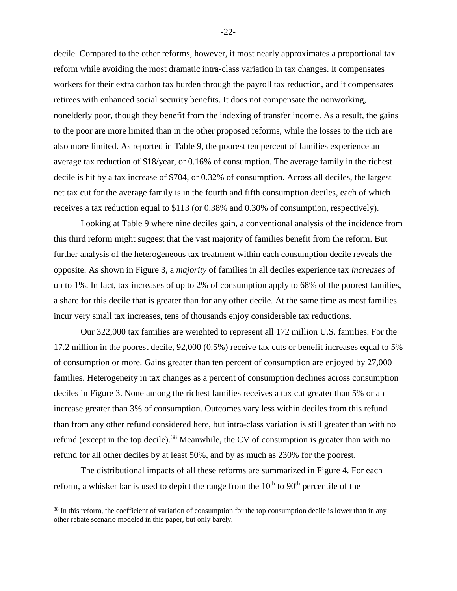decile. Compared to the other reforms, however, it most nearly approximates a proportional tax reform while avoiding the most dramatic intra-class variation in tax changes. It compensates workers for their extra carbon tax burden through the payroll tax reduction, and it compensates retirees with enhanced social security benefits. It does not compensate the nonworking, nonelderly poor, though they benefit from the indexing of transfer income. As a result, the gains to the poor are more limited than in the other proposed reforms, while the losses to the rich are also more limited. As reported in Table 9, the poorest ten percent of families experience an average tax reduction of \$18/year, or 0.16% of consumption. The average family in the richest decile is hit by a tax increase of \$704, or 0.32% of consumption. Across all deciles, the largest net tax cut for the average family is in the fourth and fifth consumption deciles, each of which receives a tax reduction equal to \$113 (or 0.38% and 0.30% of consumption, respectively).

 Looking at Table 9 where nine deciles gain, a conventional analysis of the incidence from this third reform might suggest that the vast majority of families benefit from the reform. But further analysis of the heterogeneous tax treatment within each consumption decile reveals the opposite. As shown in Figure 3, a *majority* of families in all deciles experience tax *increases* of up to 1%. In fact, tax increases of up to 2% of consumption apply to 68% of the poorest families, a share for this decile that is greater than for any other decile. At the same time as most families incur very small tax increases, tens of thousands enjoy considerable tax reductions.

Our 322,000 tax families are weighted to represent all 172 million U.S. families. For the 17.2 million in the poorest decile, 92,000 (0.5%) receive tax cuts or benefit increases equal to 5% of consumption or more. Gains greater than ten percent of consumption are enjoyed by 27,000 families. Heterogeneity in tax changes as a percent of consumption declines across consumption deciles in Figure 3. None among the richest families receives a tax cut greater than 5% or an increase greater than 3% of consumption. Outcomes vary less within deciles from this refund than from any other refund considered here, but intra-class variation is still greater than with no refund (except in the top decile).<sup>[38](#page-23-0)</sup> Meanwhile, the CV of consumption is greater than with no refund for all other deciles by at least 50%, and by as much as 230% for the poorest.

The distributional impacts of all these reforms are summarized in Figure 4. For each reform, a whisker bar is used to depict the range from the  $10<sup>th</sup>$  to  $90<sup>th</sup>$  percentile of the

 $\overline{a}$ 

-22-

<span id="page-23-0"></span> $38$  In this reform, the coefficient of variation of consumption for the top consumption decile is lower than in any other rebate scenario modeled in this paper, but only barely.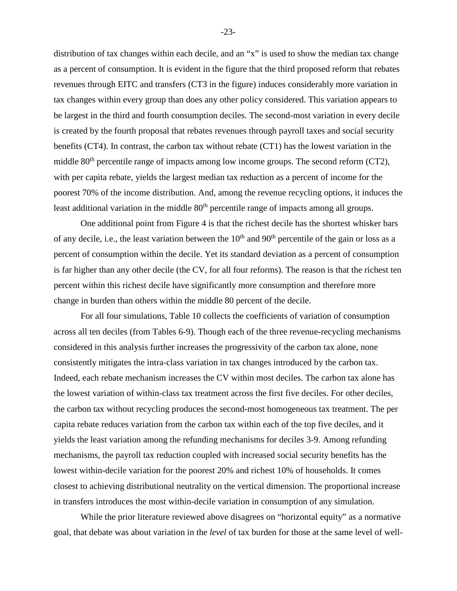distribution of tax changes within each decile, and an "x" is used to show the median tax change as a percent of consumption. It is evident in the figure that the third proposed reform that rebates revenues through EITC and transfers (CT3 in the figure) induces considerably more variation in tax changes within every group than does any other policy considered. This variation appears to be largest in the third and fourth consumption deciles. The second-most variation in every decile is created by the fourth proposal that rebates revenues through payroll taxes and social security benefits (CT4). In contrast, the carbon tax without rebate (CT1) has the lowest variation in the middle 80<sup>th</sup> percentile range of impacts among low income groups. The second reform (CT2), with per capita rebate, yields the largest median tax reduction as a percent of income for the poorest 70% of the income distribution. And, among the revenue recycling options, it induces the least additional variation in the middle 80<sup>th</sup> percentile range of impacts among all groups.

 One additional point from Figure 4 is that the richest decile has the shortest whisker bars of any decile, i.e., the least variation between the  $10<sup>th</sup>$  and  $90<sup>th</sup>$  percentile of the gain or loss as a percent of consumption within the decile. Yet its standard deviation as a percent of consumption is far higher than any other decile (the CV, for all four reforms). The reason is that the richest ten percent within this richest decile have significantly more consumption and therefore more change in burden than others within the middle 80 percent of the decile.

For all four simulations, Table 10 collects the coefficients of variation of consumption across all ten deciles (from Tables 6-9). Though each of the three revenue-recycling mechanisms considered in this analysis further increases the progressivity of the carbon tax alone, none consistently mitigates the intra-class variation in tax changes introduced by the carbon tax. Indeed, each rebate mechanism increases the CV within most deciles. The carbon tax alone has the lowest variation of within-class tax treatment across the first five deciles. For other deciles, the carbon tax without recycling produces the second-most homogeneous tax treatment. The per capita rebate reduces variation from the carbon tax within each of the top five deciles, and it yields the least variation among the refunding mechanisms for deciles 3-9. Among refunding mechanisms, the payroll tax reduction coupled with increased social security benefits has the lowest within-decile variation for the poorest 20% and richest 10% of households. It comes closest to achieving distributional neutrality on the vertical dimension. The proportional increase in transfers introduces the most within-decile variation in consumption of any simulation.

While the prior literature reviewed above disagrees on "horizontal equity" as a normative goal, that debate was about variation in the *level* of tax burden for those at the same level of well-

-23-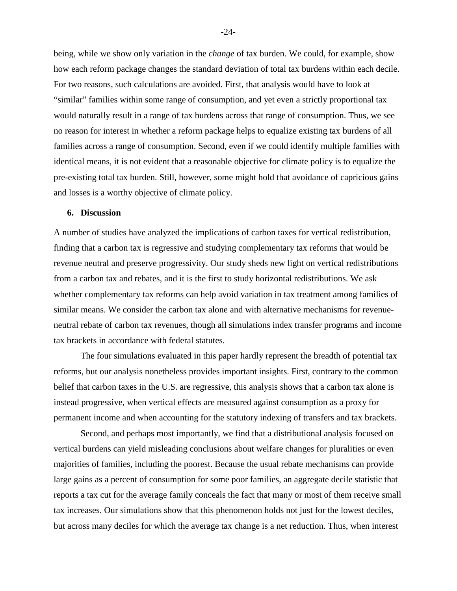being, while we show only variation in the *change* of tax burden. We could, for example, show how each reform package changes the standard deviation of total tax burdens within each decile. For two reasons, such calculations are avoided. First, that analysis would have to look at "similar" families within some range of consumption, and yet even a strictly proportional tax would naturally result in a range of tax burdens across that range of consumption. Thus, we see no reason for interest in whether a reform package helps to equalize existing tax burdens of all families across a range of consumption. Second, even if we could identify multiple families with identical means, it is not evident that a reasonable objective for climate policy is to equalize the pre-existing total tax burden. Still, however, some might hold that avoidance of capricious gains and losses is a worthy objective of climate policy.

#### **6. Discussion**

A number of studies have analyzed the implications of carbon taxes for vertical redistribution, finding that a carbon tax is regressive and studying complementary tax reforms that would be revenue neutral and preserve progressivity. Our study sheds new light on vertical redistributions from a carbon tax and rebates, and it is the first to study horizontal redistributions. We ask whether complementary tax reforms can help avoid variation in tax treatment among families of similar means. We consider the carbon tax alone and with alternative mechanisms for revenueneutral rebate of carbon tax revenues, though all simulations index transfer programs and income tax brackets in accordance with federal statutes.

 The four simulations evaluated in this paper hardly represent the breadth of potential tax reforms, but our analysis nonetheless provides important insights. First, contrary to the common belief that carbon taxes in the U.S. are regressive, this analysis shows that a carbon tax alone is instead progressive, when vertical effects are measured against consumption as a proxy for permanent income and when accounting for the statutory indexing of transfers and tax brackets.

Second, and perhaps most importantly, we find that a distributional analysis focused on vertical burdens can yield misleading conclusions about welfare changes for pluralities or even majorities of families, including the poorest. Because the usual rebate mechanisms can provide large gains as a percent of consumption for some poor families, an aggregate decile statistic that reports a tax cut for the average family conceals the fact that many or most of them receive small tax increases. Our simulations show that this phenomenon holds not just for the lowest deciles, but across many deciles for which the average tax change is a net reduction. Thus, when interest

-24-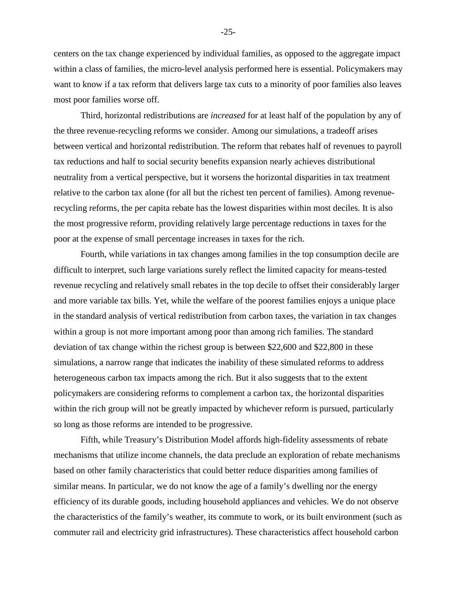centers on the tax change experienced by individual families, as opposed to the aggregate impact within a class of families, the micro-level analysis performed here is essential. Policymakers may want to know if a tax reform that delivers large tax cuts to a minority of poor families also leaves most poor families worse off.

 Third, horizontal redistributions are *increased* for at least half of the population by any of the three revenue-recycling reforms we consider. Among our simulations, a tradeoff arises between vertical and horizontal redistribution. The reform that rebates half of revenues to payroll tax reductions and half to social security benefits expansion nearly achieves distributional neutrality from a vertical perspective, but it worsens the horizontal disparities in tax treatment relative to the carbon tax alone (for all but the richest ten percent of families). Among revenuerecycling reforms, the per capita rebate has the lowest disparities within most deciles. It is also the most progressive reform, providing relatively large percentage reductions in taxes for the poor at the expense of small percentage increases in taxes for the rich.

 Fourth, while variations in tax changes among families in the top consumption decile are difficult to interpret, such large variations surely reflect the limited capacity for means-tested revenue recycling and relatively small rebates in the top decile to offset their considerably larger and more variable tax bills. Yet, while the welfare of the poorest families enjoys a unique place in the standard analysis of vertical redistribution from carbon taxes, the variation in tax changes within a group is not more important among poor than among rich families. The standard deviation of tax change within the richest group is between \$22,600 and \$22,800 in these simulations, a narrow range that indicates the inability of these simulated reforms to address heterogeneous carbon tax impacts among the rich. But it also suggests that to the extent policymakers are considering reforms to complement a carbon tax, the horizontal disparities within the rich group will not be greatly impacted by whichever reform is pursued, particularly so long as those reforms are intended to be progressive.

Fifth, while Treasury's Distribution Model affords high-fidelity assessments of rebate mechanisms that utilize income channels, the data preclude an exploration of rebate mechanisms based on other family characteristics that could better reduce disparities among families of similar means. In particular, we do not know the age of a family's dwelling nor the energy efficiency of its durable goods, including household appliances and vehicles. We do not observe the characteristics of the family's weather, its commute to work, or its built environment (such as commuter rail and electricity grid infrastructures). These characteristics affect household carbon

-25-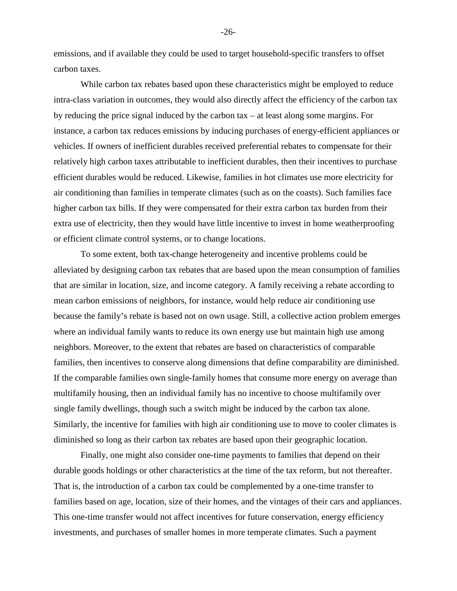emissions, and if available they could be used to target household-specific transfers to offset carbon taxes.

While carbon tax rebates based upon these characteristics might be employed to reduce intra-class variation in outcomes, they would also directly affect the efficiency of the carbon tax by reducing the price signal induced by the carbon tax – at least along some margins. For instance, a carbon tax reduces emissions by inducing purchases of energy-efficient appliances or vehicles. If owners of inefficient durables received preferential rebates to compensate for their relatively high carbon taxes attributable to inefficient durables, then their incentives to purchase efficient durables would be reduced. Likewise, families in hot climates use more electricity for air conditioning than families in temperate climates (such as on the coasts). Such families face higher carbon tax bills. If they were compensated for their extra carbon tax burden from their extra use of electricity, then they would have little incentive to invest in home weatherproofing or efficient climate control systems, or to change locations.

 To some extent, both tax-change heterogeneity and incentive problems could be alleviated by designing carbon tax rebates that are based upon the mean consumption of families that are similar in location, size, and income category. A family receiving a rebate according to mean carbon emissions of neighbors, for instance, would help reduce air conditioning use because the family's rebate is based not on own usage. Still, a collective action problem emerges where an individual family wants to reduce its own energy use but maintain high use among neighbors. Moreover, to the extent that rebates are based on characteristics of comparable families, then incentives to conserve along dimensions that define comparability are diminished. If the comparable families own single-family homes that consume more energy on average than multifamily housing, then an individual family has no incentive to choose multifamily over single family dwellings, though such a switch might be induced by the carbon tax alone. Similarly, the incentive for families with high air conditioning use to move to cooler climates is diminished so long as their carbon tax rebates are based upon their geographic location.

 Finally, one might also consider one-time payments to families that depend on their durable goods holdings or other characteristics at the time of the tax reform, but not thereafter. That is, the introduction of a carbon tax could be complemented by a one-time transfer to families based on age, location, size of their homes, and the vintages of their cars and appliances. This one-time transfer would not affect incentives for future conservation, energy efficiency investments, and purchases of smaller homes in more temperate climates. Such a payment

-26-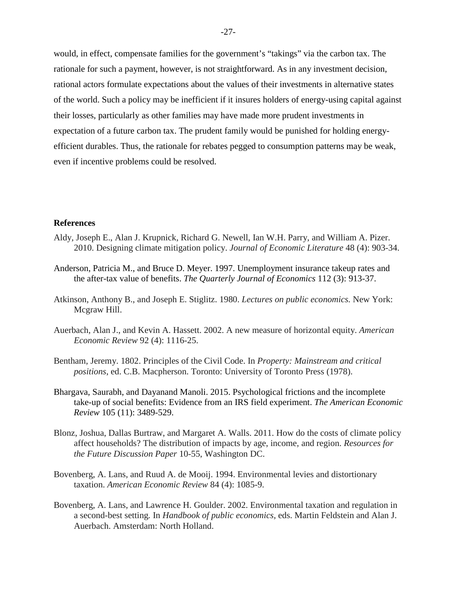would, in effect, compensate families for the government's "takings" via the carbon tax. The rationale for such a payment, however, is not straightforward. As in any investment decision, rational actors formulate expectations about the values of their investments in alternative states of the world. Such a policy may be inefficient if it insures holders of energy-using capital against their losses, particularly as other families may have made more prudent investments in expectation of a future carbon tax. The prudent family would be punished for holding energyefficient durables. Thus, the rationale for rebates pegged to consumption patterns may be weak, even if incentive problems could be resolved.

### **References**

- Aldy, Joseph E., Alan J. Krupnick, Richard G. Newell, Ian W.H. Parry, and William A. Pizer. 2010. Designing climate mitigation policy. *Journal of Economic Literature* 48 (4): 903-34.
- Anderson, Patricia M., and Bruce D. Meyer. 1997. Unemployment insurance takeup rates and the after-tax value of benefits. *The Quarterly Journal of Economics* 112 (3): 913-37.
- Atkinson, Anthony B., and Joseph E. Stiglitz. 1980. *Lectures on public economics.* New York: Mcgraw Hill.
- Auerbach, Alan J., and Kevin A. Hassett. 2002. A new measure of horizontal equity. *American Economic Review* 92 (4): 1116-25.
- Bentham, Jeremy. 1802. Principles of the Civil Code. In *Property: Mainstream and critical positions*, ed. C.B. Macpherson. Toronto: University of Toronto Press (1978).
- Bhargava, Saurabh, and Dayanand Manoli. 2015. Psychological frictions and the incomplete take-up of social benefits: Evidence from an IRS field experiment. *The American Economic Review* 105 (11): 3489-529.
- Blonz, Joshua, Dallas Burtraw, and Margaret A. Walls. 2011. How do the costs of climate policy affect households? The distribution of impacts by age, income, and region. *Resources for the Future Discussion Paper* 10-55, Washington DC.
- Bovenberg, A. Lans, and Ruud A. de Mooij. 1994. Environmental levies and distortionary taxation. *American Economic Review* 84 (4): 1085-9.
- Bovenberg, A. Lans, and Lawrence H. Goulder. 2002. Environmental taxation and regulation in a second-best setting*.* In *Handbook of public economics*, eds. Martin Feldstein and Alan J. Auerbach. Amsterdam: North Holland.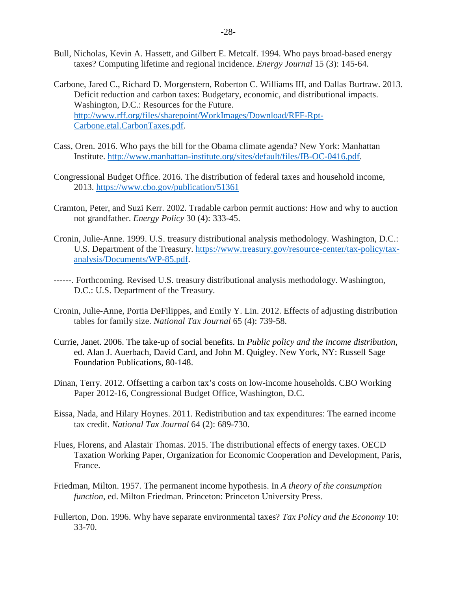- Bull, Nicholas, Kevin A. Hassett, and Gilbert E. Metcalf. 1994. Who pays broad-based energy taxes? Computing lifetime and regional incidence. *Energy Journal* 15 (3): 145-64.
- Carbone, Jared C., Richard D. Morgenstern, Roberton C. Williams III, and Dallas Burtraw. 2013. Deficit reduction and carbon taxes: Budgetary, economic, and distributional impacts. Washington, D.C.: Resources for the Future. [http://www.rff.org/files/sharepoint/WorkImages/Download/RFF-Rpt-](http://www.rff.org/files/sharepoint/WorkImages/Download/RFF-Rpt-Carbone.etal.CarbonTaxes.pdf)[Carbone.etal.CarbonTaxes.pdf.](http://www.rff.org/files/sharepoint/WorkImages/Download/RFF-Rpt-Carbone.etal.CarbonTaxes.pdf)
- Cass, Oren. 2016. Who pays the bill for the Obama climate agenda? New York: Manhattan Institute. [http://www.manhattan-institute.org/sites/default/files/IB-OC-0416.pdf.](http://www.manhattan-institute.org/sites/default/files/IB-OC-0416.pdf)
- Congressional Budget Office. 2016. The distribution of federal taxes and household income, 2013.<https://www.cbo.gov/publication/51361>
- Cramton, Peter, and Suzi Kerr. 2002. Tradable carbon permit auctions: How and why to auction not grandfather. *Energy Policy* 30 (4): 333-45.
- Cronin, Julie-Anne. 1999. U.S. treasury distributional analysis methodology. Washington, D.C.: U.S. Department of the Treasury. [https://www.treasury.gov/resource-center/tax-policy/tax](https://www.treasury.gov/resource-center/tax-policy/tax-analysis/Documents/WP-85.pdf)[analysis/Documents/WP-85.pdf.](https://www.treasury.gov/resource-center/tax-policy/tax-analysis/Documents/WP-85.pdf)
- ------. Forthcoming*.* Revised U.S. treasury distributional analysis methodology. Washington, D.C.: U.S. Department of the Treasury.
- Cronin, Julie-Anne, Portia DeFilippes, and Emily Y. Lin. 2012. Effects of adjusting distribution tables for family size. *National Tax Journal* 65 (4): 739-58.
- Currie, Janet. 2006. The take-up of social benefits. In *Public policy and the income distribution*, ed. Alan J. Auerbach, David Card, and John M. Quigley. New York, NY: Russell Sage Foundation Publications, 80-148.
- Dinan, Terry. 2012. Offsetting a carbon tax's costs on low-income households. CBO Working Paper 2012-16, Congressional Budget Office, Washington, D.C.
- Eissa, Nada, and Hilary Hoynes. 2011. Redistribution and tax expenditures: The earned income tax credit. *National Tax Journal* 64 (2): 689-730.
- Flues, Florens, and Alastair Thomas. 2015. The distributional effects of energy taxes. OECD Taxation Working Paper, Organization for Economic Cooperation and Development, Paris, France.
- Friedman, Milton. 1957. The permanent income hypothesis. In *A theory of the consumption function*, ed. Milton Friedman. Princeton: Princeton University Press.
- Fullerton, Don. 1996. Why have separate environmental taxes? *Tax Policy and the Economy* 10: 33-70.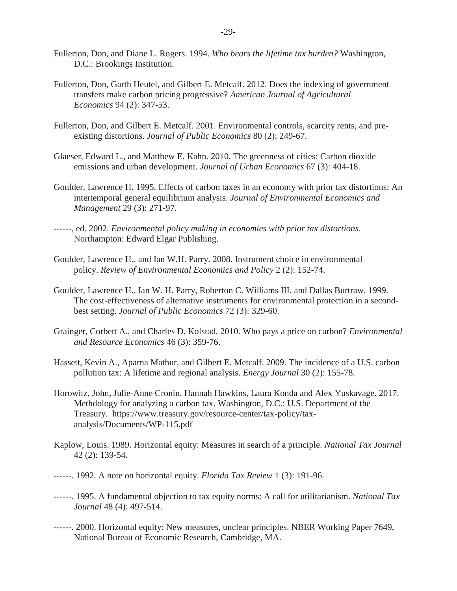- Fullerton, Don, and Diane L. Rogers. 1994. *Who bears the lifetime tax burden?* Washington, D.C.: Brookings Institution.
- Fullerton, Don, Garth Heutel, and Gilbert E. Metcalf. 2012. Does the indexing of government transfers make carbon pricing progressive? *American Journal of Agricultural Economics* 94 (2): 347-53.
- Fullerton, Don, and Gilbert E. Metcalf. 2001. Environmental controls, scarcity rents, and preexisting distortions. *Journal of Public Economics* 80 (2): 249-67.
- Glaeser, Edward L., and Matthew E. Kahn. 2010. The greenness of cities: Carbon dioxide emissions and urban development. *Journal of Urban Economics* 67 (3): 404-18.
- Goulder, Lawrence H. 1995. Effects of carbon taxes in an economy with prior tax distortions: An intertemporal general equilibrium analysis. *Journal of Environmental Economics and Management* 29 (3): 271-97.
- ------, ed. 2002. *Environmental policy making in economies with prior tax distortions*. Northampton: Edward Elgar Publishing.
- Goulder, Lawrence H., and Ian W.H. Parry. 2008. Instrument choice in environmental policy. *Review of Environmental Economics and Policy* 2 (2): 152-74.
- Goulder, Lawrence H., Ian W. H. Parry, Roberton C. Williams III, and Dallas Burtraw. 1999. The cost-effectiveness of alternative instruments for environmental protection in a secondbest setting. *Journal of Public Economics* 72 (3): 329-60.
- Grainger, Corbett A., and Charles D. Kolstad. 2010. Who pays a price on carbon? *Environmental and Resource Economics* 46 (3): 359-76.
- Hassett, Kevin A., Aparna Mathur, and Gilbert E. Metcalf. 2009. The incidence of a U.S. carbon pollution tax: A lifetime and regional analysis. *Energy Journal* 30 (2): 155-78.
- Horowitz, John, Julie-Anne Cronin, Hannah Hawkins, Laura Konda and Alex Yuskavage. 2017. Methdology for analyzing a carbon tax. Washington, D.C.: U.S. Department of the Treasury. https://www.treasury.gov/resource-center/tax-policy/taxanalysis/Documents/WP-115.pdf
- Kaplow, Louis. 1989. Horizontal equity: Measures in search of a principle. *National Tax Journal* 42 (2): 139-54.
- ------. 1992. A note on horizontal equity. *Florida Tax Review* 1 (3): 191-96.
- ------. 1995. A fundamental objection to tax equity norms: A call for utilitarianism. *National Tax Journal* 48 (4): 497-514.
- ------. 2000. Horizontal equity: New measures, unclear principles. NBER Working Paper 7649, National Bureau of Economic Research, Cambridge, MA.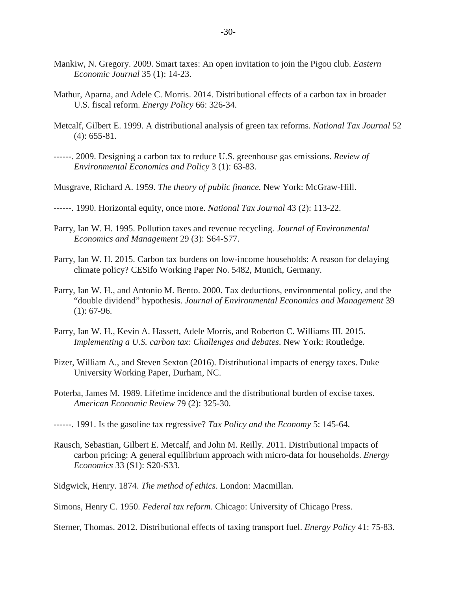- Mankiw, N. Gregory. 2009. Smart taxes: An open invitation to join the Pigou club. *Eastern Economic Journal* 35 (1): 14-23.
- Mathur, Aparna, and Adele C. Morris. 2014. Distributional effects of a carbon tax in broader U.S. fiscal reform. *Energy Policy* 66: 326-34.
- Metcalf, Gilbert E. 1999. A distributional analysis of green tax reforms. *National Tax Journal* 52 (4): 655-81.
- ------. 2009. Designing a carbon tax to reduce U.S. greenhouse gas emissions. *Review of Environmental Economics and Policy* 3 (1): 63-83.
- Musgrave, Richard A. 1959. *The theory of public finance.* New York: McGraw-Hill.
- ------. 1990. Horizontal equity, once more. *National Tax Journal* 43 (2): 113-22.
- Parry, Ian W. H. 1995. Pollution taxes and revenue recycling. *Journal of Environmental Economics and Management* 29 (3): S64-S77.
- Parry, Ian W. H. 2015. Carbon tax burdens on low-income households: A reason for delaying climate policy? CESifo Working Paper No. 5482, Munich, Germany.
- Parry, Ian W. H., and Antonio M. Bento. 2000. Tax deductions, environmental policy, and the "double dividend" hypothesis. *Journal of Environmental Economics and Management* 39 (1): 67-96.
- Parry, Ian W. H., Kevin A. Hassett, Adele Morris, and Roberton C. Williams III. 2015. *Implementing a U.S. carbon tax: Challenges and debates*. New York: Routledge.
- Pizer, William A., and Steven Sexton (2016). Distributional impacts of energy taxes. Duke University Working Paper, Durham, NC.
- Poterba, James M. 1989. Lifetime incidence and the distributional burden of excise taxes. *American Economic Review* 79 (2): 325-30.
- ------. 1991. Is the gasoline tax regressive? *Tax Policy and the Economy* 5: 145-64.
- Rausch, Sebastian, Gilbert E. Metcalf, and John M. Reilly. 2011. Distributional impacts of carbon pricing: A general equilibrium approach with micro-data for households. *Energy Economics* 33 (S1): S20-S33.
- Sidgwick, Henry. 1874. *The method of ethics*. London: Macmillan.
- Simons, Henry C. 1950. *Federal tax reform*. Chicago: University of Chicago Press.

Sterner, Thomas. 2012. Distributional effects of taxing transport fuel. *Energy Policy* 41: 75-83.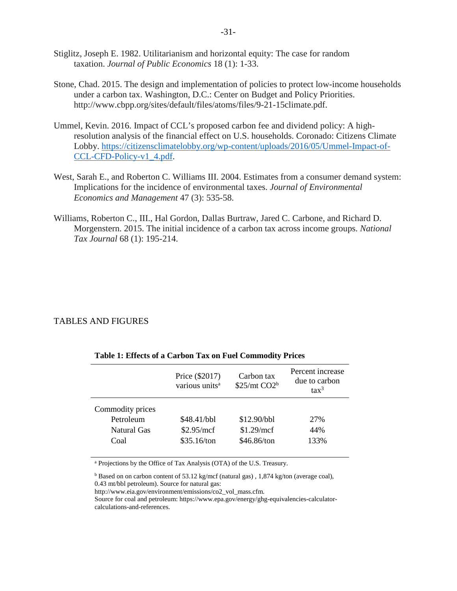- Stiglitz, Joseph E. 1982. Utilitarianism and horizontal equity: The case for random taxation. *Journal of Public Economics* 18 (1): 1-33.
- Stone, Chad. 2015. The design and implementation of policies to protect low-income households under a carbon tax. Washington, D.C.: Center on Budget and Policy Priorities. http://www.cbpp.org/sites/default/files/atoms/files/9-21-15climate.pdf.
- Ummel, Kevin. 2016. Impact of CCL's proposed carbon fee and dividend policy: A highresolution analysis of the financial effect on U.S. households. Coronado: Citizens Climate Lobby. [https://citizensclimatelobby.org/wp-content/uploads/2016/05/Ummel-Impact-of-](https://citizensclimatelobby.org/wp-content/uploads/2016/05/Ummel-Impact-of-CCL-CFD-Policy-v1_4.pdf)[CCL-CFD-Policy-v1\\_4.pdf.](https://citizensclimatelobby.org/wp-content/uploads/2016/05/Ummel-Impact-of-CCL-CFD-Policy-v1_4.pdf)
- West, Sarah E., and Roberton C. Williams III. 2004. Estimates from a consumer demand system: Implications for the incidence of environmental taxes. *Journal of Environmental Economics and Management* 47 (3): 535-58.
- Williams, Roberton C., III., Hal Gordon, Dallas Burtraw, Jared C. Carbone, and Richard D. Morgenstern. 2015. The initial incidence of a carbon tax across income groups. *National Tax Journal* 68 (1): 195-214.

## TABLES AND FIGURES

|                                                      | Price (\$2017)<br>various units <sup>a</sup> | Carbon tax<br>$$25/mt$ CO2 <sup>b</sup>  | Percent increase<br>due to carbon<br>$\text{tax}^3$ |
|------------------------------------------------------|----------------------------------------------|------------------------------------------|-----------------------------------------------------|
| Commodity prices<br>Petroleum<br>Natural Gas<br>Coal | \$48.41/bbl<br>\$2.95/mcf<br>\$35.16/ton     | \$12.90/bbl<br>\$1.29/mcf<br>\$46.86/ton | 27%<br>44%<br>133%                                  |

#### **Table 1: Effects of a Carbon Tax on Fuel Commodity Prices**

a Projections by the Office of Tax Analysis (OTA) of the U.S. Treasury.

<sup>b</sup> Based on on carbon content of 53.12 kg/mcf (natural gas) , 1,874 kg/ton (average coal), 0.43 mt/bbl petroleum). Source for natural gas:

http://www.eia.gov/environment/emissions/co2\_vol\_mass.cfm.

Source for coal and petroleum: https://www.epa.gov/energy/ghg-equivalencies-calculatorcalculations-and-references.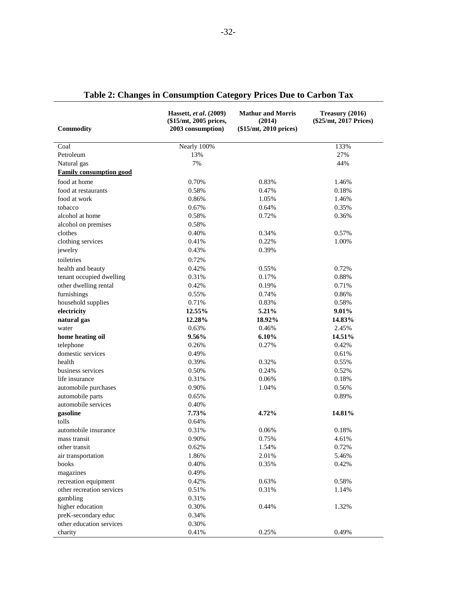| <b>Commodity</b>                                  | Hassett, et al. (2009)<br>(\$15/mt, 2005 prices,<br>2003 consumption) | <b>Mathur and Morris</b><br>(2014)<br>$($15/mt, 2010$ prices) | Treasury (2016)<br>(\$25/mt, 2017 Prices) |
|---------------------------------------------------|-----------------------------------------------------------------------|---------------------------------------------------------------|-------------------------------------------|
| Coal                                              | Nearly 100%                                                           |                                                               | 133%                                      |
| Petroleum                                         | 13%                                                                   |                                                               | 27%                                       |
| Natural gas                                       | 7%                                                                    |                                                               | 44%                                       |
| <b>Family consumption good</b>                    |                                                                       |                                                               |                                           |
| food at home                                      | 0.70%                                                                 | 0.83%                                                         | 1.46%                                     |
| food at restaurants                               | 0.58%                                                                 | 0.47%                                                         | 0.18%                                     |
| food at work                                      | 0.86%                                                                 | 1.05%                                                         | 1.46%                                     |
| tobacco                                           | 0.67%                                                                 | 0.64%                                                         | 0.35%                                     |
| alcohol at home                                   | 0.58%                                                                 | 0.72%                                                         | 0.36%                                     |
| alcohol on premises                               | 0.58%                                                                 |                                                               |                                           |
| clothes                                           | 0.40%                                                                 | 0.34%                                                         | 0.57%                                     |
| clothing services                                 | 0.41%                                                                 | 0.22%                                                         | 1.00%                                     |
| jewelry                                           | 0.43%                                                                 | 0.39%                                                         |                                           |
| toiletries                                        | 0.72%                                                                 |                                                               |                                           |
|                                                   | 0.42%                                                                 | 0.55%                                                         | 0.72%                                     |
| health and beauty                                 | 0.31%                                                                 | 0.17%                                                         | 0.88%                                     |
| tenant occupied dwelling<br>other dwelling rental | 0.42%                                                                 | 0.19%                                                         | 0.71%                                     |
|                                                   | 0.55%                                                                 | 0.74%                                                         | 0.86%                                     |
| furnishings                                       | 0.71%                                                                 | 0.83%                                                         | 0.58%                                     |
| household supplies                                | 12.55%                                                                |                                                               |                                           |
| electricity                                       |                                                                       | 5.21%                                                         | 9.01%                                     |
| natural gas                                       | 12.28%<br>0.63%                                                       | 18.92%<br>0.46%                                               | 14.83%                                    |
| water                                             | 9.56%                                                                 |                                                               | 2.45%                                     |
| home heating oil                                  | 0.26%                                                                 | 6.10%<br>0.27%                                                | 14.51%                                    |
| telephone<br>domestic services                    | 0.49%                                                                 |                                                               | 0.42%<br>0.61%                            |
| health                                            | 0.39%                                                                 | 0.32%                                                         | 0.55%                                     |
| business services                                 | 0.50%                                                                 | 0.24%                                                         | 0.52%                                     |
| life insurance                                    |                                                                       |                                                               |                                           |
|                                                   | 0.31%                                                                 | 0.06%                                                         | 0.18%                                     |
| automobile purchases                              | 0.90%                                                                 | 1.04%                                                         | 0.56%                                     |
| automobile parts<br>automobile services           | 0.65%                                                                 |                                                               | 0.89%                                     |
|                                                   | 0.40%                                                                 |                                                               |                                           |
| gasoline                                          | 7.73%                                                                 | 4.72%                                                         | 14.81%                                    |
| tolls<br>automobile insurance                     | 0.64%                                                                 |                                                               |                                           |
|                                                   | 0.31%                                                                 | 0.06%                                                         | 0.18%                                     |
| mass transit                                      | 0.90%                                                                 | 0.75%                                                         | 4.61%                                     |
| other transit                                     | 0.62%                                                                 | 1.54%                                                         | 0.72%                                     |
| air transportation                                | 1.86%                                                                 | 2.01%                                                         | 5.46%                                     |
| books                                             | 0.40%                                                                 | 0.35%                                                         | 0.42%                                     |
| magazines                                         | 0.49%                                                                 |                                                               |                                           |
| recreation equipment                              | 0.42%                                                                 | 0.63%                                                         | 0.58%                                     |
| other recreation services                         | 0.51%                                                                 | 0.31%                                                         | 1.14%                                     |
| gambling                                          | 0.31%                                                                 |                                                               |                                           |
| higher education                                  | 0.30%                                                                 | 0.44%                                                         | 1.32%                                     |
| preK-secondary educ                               | 0.34%                                                                 |                                                               |                                           |
| other education services                          | 0.30%                                                                 |                                                               |                                           |
| charity                                           | 0.41%                                                                 | 0.25%                                                         | 0.49%                                     |

|  |  | Table 2: Changes in Consumption Category Prices Due to Carbon Tax |  |  |  |  |  |  |  |
|--|--|-------------------------------------------------------------------|--|--|--|--|--|--|--|
|--|--|-------------------------------------------------------------------|--|--|--|--|--|--|--|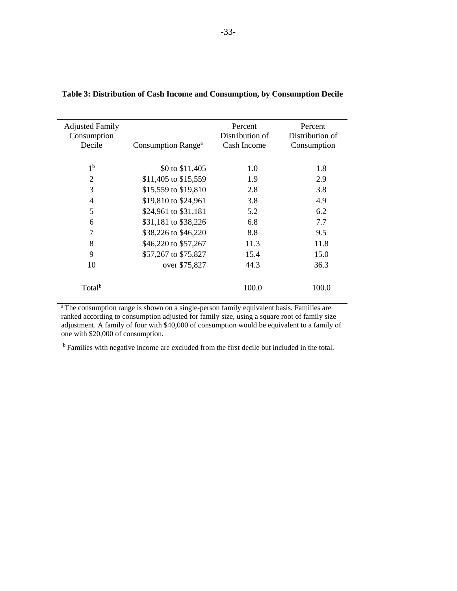| <b>Adjusted Family</b> |                                | Percent         | Percent         |
|------------------------|--------------------------------|-----------------|-----------------|
| Consumption            |                                | Distribution of | Distribution of |
| Decile                 | Consumption Range <sup>a</sup> | Cash Income     | Consumption     |
|                        |                                |                 |                 |
| 1 <sup>b</sup>         | \$0 to \$11,405                | 1.0             | 1.8             |
| $\overline{2}$         | \$11,405 to \$15,559           | 1.9             | 2.9             |
| 3                      | \$15,559 to \$19,810           | 2.8             | 3.8             |
| $\overline{4}$         | \$19,810 to \$24,961           | 3.8             | 4.9             |
| 5                      | \$24,961 to \$31,181           | 5.2             | 6.2             |
| 6                      | \$31,181 to \$38,226           | 6.8             | 7.7             |
| $\overline{7}$         | \$38,226 to \$46,220           | 8.8             | 9.5             |
| 8                      | \$46,220 to \$57,267           | 11.3            | 11.8            |
| 9                      | \$57,267 to \$75,827           | 15.4            | 15.0            |
| 10                     | over \$75,827                  | 44.3            | 36.3            |
| Total <sup>b</sup>     |                                | 100.0           | 100.0           |
|                        |                                |                 |                 |

## **Table 3: Distribution of Cash Income and Consumption, by Consumption Decile**

<sup>a</sup> The consumption range is shown on a single-person family equivalent basis. Families are ranked according to consumption adjusted for family size, using a square root of family size adjustment. A family of four with \$40,000 of consumption would be equivalent to a family of one with \$20,000 of consumption.

<sup>b</sup> Families with negative income are excluded from the first decile but included in the total.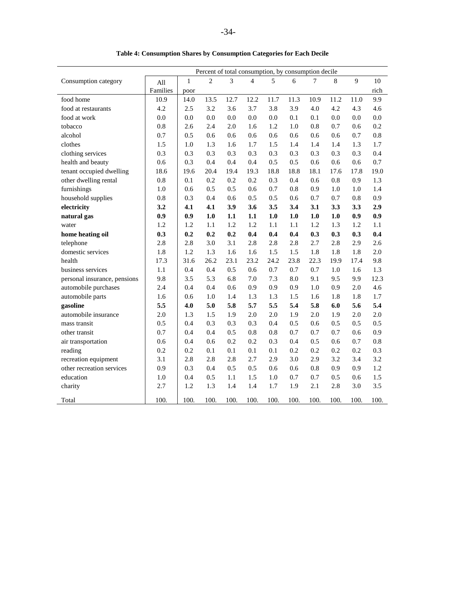|            | mption Shares by Consumption Categories for Each |                                          |      |      |      |      |  |
|------------|--------------------------------------------------|------------------------------------------|------|------|------|------|--|
|            |                                                  | Percent of total consumption, by consump |      |      |      |      |  |
| ΛH         |                                                  | $\mathfrak{D}_{\cdot}$                   | 3    | 4    | 5    | 6    |  |
| iilies     | poor                                             |                                          |      |      |      |      |  |
| 0.9        | 14.0                                             | 13.5                                     | 12.7 | 12.2 | 11.7 | 11.3 |  |
| $\cdot$ .2 | 2.5                                              | 3.2                                      | 3.6  | 3.7  | 3.8  | 3.9  |  |
| 0.0        | 0.0                                              | 0.0                                      | 0.0  | 0.0  | 0.0  | 0.1  |  |
| .8         | 2.6                                              | 2.4                                      | 2.0  | 1.6  | 1.2. | 1.0  |  |
|            |                                                  |                                          |      |      |      |      |  |

|  |  |  |  |  | Table 4: Consumption Shares by Consumption Categories for Each Decile |  |
|--|--|--|--|--|-----------------------------------------------------------------------|--|
|  |  |  |  |  |                                                                       |  |

|                              |          |              | Percent of total consumption, by consumption decile |      |                |         |      |      |      |             |      |
|------------------------------|----------|--------------|-----------------------------------------------------|------|----------------|---------|------|------|------|-------------|------|
| Consumption category         | All      | $\mathbf{1}$ | $\overline{2}$                                      | 3    | $\overline{4}$ | 5       | 6    | 7    | 8    | $\mathbf Q$ | 10   |
|                              | Families | poor         |                                                     |      |                |         |      |      |      |             | rich |
| food home                    | 10.9     | 14.0         | 13.5                                                | 12.7 | 12.2           | 11.7    | 11.3 | 10.9 | 11.2 | 11.0        | 9.9  |
| food at restaurants          | 4.2      | 2.5          | 3.2                                                 | 3.6  | 3.7            | 3.8     | 3.9  | 4.0  | 4.2  | 4.3         | 4.6  |
| food at work                 | 0.0      | 0.0          | 0.0                                                 | 0.0  | 0.0            | 0.0     | 0.1  | 0.1  | 0.0  | 0.0         | 0.0  |
| tobacco                      | 0.8      | 2.6          | 2.4                                                 | 2.0  | 1.6            | 1.2     | 1.0  | 0.8  | 0.7  | 0.6         | 0.2  |
| alcohol                      | 0.7      | 0.5          | 0.6                                                 | 0.6  | 0.6            | 0.6     | 0.6  | 0.6  | 0.6  | 0.7         | 0.8  |
| clothes                      | 1.5      | 1.0          | 1.3                                                 | 1.6  | 1.7            | 1.5     | 1.4  | 1.4  | 1.4  | 1.3         | 1.7  |
| clothing services            | 0.3      | 0.3          | 0.3                                                 | 0.3  | 0.3            | 0.3     | 0.3  | 0.3  | 0.3  | 0.3         | 0.4  |
| health and beauty            | 0.6      | 0.3          | 0.4                                                 | 0.4  | 0.4            | 0.5     | 0.5  | 0.6  | 0.6  | 0.6         | 0.7  |
| tenant occupied dwelling     | 18.6     | 19.6         | 20.4                                                | 19.4 | 19.3           | 18.8    | 18.8 | 18.1 | 17.6 | 17.8        | 19.0 |
| other dwelling rental        | 0.8      | 0.1          | 0.2                                                 | 0.2  | 0.2            | 0.3     | 0.4  | 0.6  | 0.8  | 0.9         | 1.3  |
| furnishings                  | 1.0      | 0.6          | 0.5                                                 | 0.5  | 0.6            | 0.7     | 0.8  | 0.9  | 1.0  | 1.0         | 1.4  |
| household supplies           | 0.8      | 0.3          | 0.4                                                 | 0.6  | 0.5            | 0.5     | 0.6  | 0.7  | 0.7  | 0.8         | 0.9  |
| electricity                  | 3.2      | 4.1          | 4.1                                                 | 3.9  | 3.6            | 3.5     | 3.4  | 3.1  | 3.3  | 3.3         | 2.9  |
| natural gas                  | 0.9      | 0.9          | 1.0                                                 | 1.1  | 1.1            | 1.0     | 1.0  | 1.0  | 1.0  | 0.9         | 0.9  |
| water                        | 1.2      | 1.2          | 1.1                                                 | 1.2  | 1.2            | 1.1     | 1.1  | 1.2  | 1.3  | 1.2         | 1.1  |
| home heating oil             | 0.3      | 0.2          | 0.2                                                 | 0.2  | 0.4            | 0.4     | 0.4  | 0.3  | 0.3  | 0.3         | 0.4  |
| telephone                    | 2.8      | 2.8          | 3.0                                                 | 3.1  | 2.8            | 2.8     | 2.8  | 2.7  | 2.8  | 2.9         | 2.6  |
| domestic services            | 1.8      | 1.2          | 1.3                                                 | 1.6  | 1.6            | 1.5     | 1.5  | 1.8  | 1.8  | 1.8         | 2.0  |
| health                       | 17.3     | 31.6         | 26.2                                                | 23.1 | 23.2           | 24.2    | 23.8 | 22.3 | 19.9 | 17.4        | 9.8  |
| business services            | 1.1      | 0.4          | 0.4                                                 | 0.5  | 0.6            | 0.7     | 0.7  | 0.7  | 1.0  | 1.6         | 1.3  |
| personal insurance, pensions | 9.8      | 3.5          | 5.3                                                 | 6.8  | 7.0            | 7.3     | 8.0  | 9.1  | 9.5  | 9.9         | 12.3 |
| automobile purchases         | 2.4      | 0.4          | 0.4                                                 | 0.6  | 0.9            | 0.9     | 0.9  | 1.0  | 0.9  | 2.0         | 4.6  |
| automobile parts             | 1.6      | 0.6          | 1.0                                                 | 1.4  | 1.3            | 1.3     | 1.5  | 1.6  | 1.8  | 1.8         | 1.7  |
| gasoline                     | 5.5      | 4.0          | 5.0                                                 | 5.8  | 5.7            | 5.5     | 5.4  | 5.8  | 6.0  | 5.6         | 5.4  |
| automobile insurance         | 2.0      | 1.3          | 1.5                                                 | 1.9  | 2.0            | 2.0     | 1.9  | 2.0  | 1.9  | 2.0         | 2.0  |
| mass transit                 | 0.5      | 0.4          | 0.3                                                 | 0.3  | 0.3            | 0.4     | 0.5  | 0.6  | 0.5  | 0.5         | 0.5  |
| other transit                | 0.7      | 0.4          | 0.4                                                 | 0.5  | 0.8            | 0.8     | 0.7  | 0.7  | 0.7  | 0.6         | 0.9  |
| air transportation           | 0.6      | 0.4          | 0.6                                                 | 0.2  | 0.2            | 0.3     | 0.4  | 0.5  | 0.6  | 0.7         | 0.8  |
| reading                      | 0.2      | 0.2          | 0.1                                                 | 0.1  | 0.1            | 0.1     | 0.2  | 0.2  | 0.2  | 0.2         | 0.3  |
| recreation equipment         | 3.1      | 2.8          | 2.8                                                 | 2.8  | 2.7            | 2.9     | 3.0  | 2.9  | 3.2  | 3.4         | 3.2  |
| other recreation services    | 0.9      | 0.3          | 0.4                                                 | 0.5  | 0.5            | 0.6     | 0.6  | 0.8  | 0.9  | 0.9         | 1.2  |
| education                    | 1.0      | 0.4          | 0.5                                                 | 1.1  | 1.5            | 1.0     | 0.7  | 0.7  | 0.5  | 0.6         | 1.5  |
| charity                      | 2.7      | 1.2          | 1.3                                                 | 1.4  | 1.4            | $1.7\,$ | 1.9  | 2.1  | 2.8  | 3.0         | 3.5  |
| Total                        | 100.     | 100.         | 100.                                                | 100. | 100.           | 100.    | 100. | 100. | 100. | 100.        | 100. |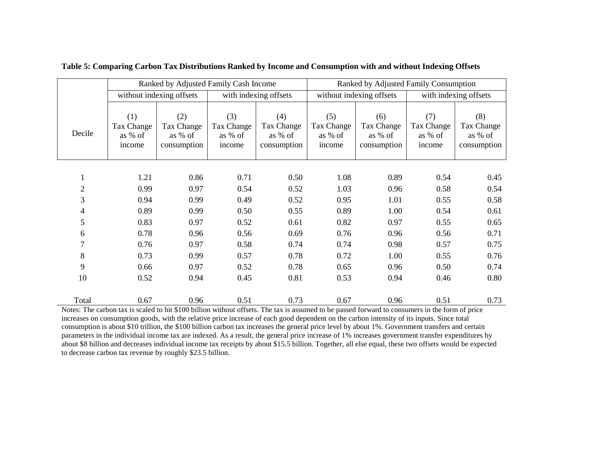|                |                                        | Ranked by Adjusted Family Cash Income       |                                        |                                             | Ranked by Adjusted Family Consumption  |                                             |                                        |                                             |
|----------------|----------------------------------------|---------------------------------------------|----------------------------------------|---------------------------------------------|----------------------------------------|---------------------------------------------|----------------------------------------|---------------------------------------------|
|                |                                        | without indexing offsets                    |                                        | with indexing offsets                       |                                        | without indexing offsets                    |                                        | with indexing offsets                       |
| Decile         | (1)<br>Tax Change<br>as % of<br>income | (2)<br>Tax Change<br>as % of<br>consumption | (3)<br>Tax Change<br>as % of<br>income | (4)<br>Tax Change<br>as % of<br>consumption | (5)<br>Tax Change<br>as % of<br>income | (6)<br>Tax Change<br>as % of<br>consumption | (7)<br>Tax Change<br>as % of<br>income | (8)<br>Tax Change<br>as % of<br>consumption |
|                |                                        |                                             |                                        |                                             |                                        |                                             |                                        |                                             |
| $\mathbf{I}$   | 1.21                                   | 0.86                                        | 0.71                                   | 0.50                                        | 1.08                                   | 0.89                                        | 0.54                                   | 0.45                                        |
| $\overline{c}$ | 0.99                                   | 0.97                                        | 0.54                                   | 0.52                                        | 1.03                                   | 0.96                                        | 0.58                                   | 0.54                                        |
| 3              | 0.94                                   | 0.99                                        | 0.49                                   | 0.52                                        | 0.95                                   | 1.01                                        | 0.55                                   | 0.58                                        |
| $\overline{4}$ | 0.89                                   | 0.99                                        | 0.50                                   | 0.55                                        | 0.89                                   | 1.00                                        | 0.54                                   | 0.61                                        |
| 5              | 0.83                                   | 0.97                                        | 0.52                                   | 0.61                                        | 0.82                                   | 0.97                                        | 0.55                                   | 0.65                                        |
| 6              | 0.78                                   | 0.96                                        | 0.56                                   | 0.69                                        | 0.76                                   | 0.96                                        | 0.56                                   | 0.71                                        |
| $\tau$         | 0.76                                   | 0.97                                        | 0.58                                   | 0.74                                        | 0.74                                   | 0.98                                        | 0.57                                   | 0.75                                        |
| 8              | 0.73                                   | 0.99                                        | 0.57                                   | 0.78                                        | 0.72                                   | 1.00                                        | 0.55                                   | 0.76                                        |
| 9              | 0.66                                   | 0.97                                        | 0.52                                   | 0.78                                        | 0.65                                   | 0.96                                        | 0.50                                   | 0.74                                        |
| 10             | 0.52                                   | 0.94                                        | 0.45                                   | 0.81                                        | 0.53                                   | 0.94                                        | 0.46                                   | 0.80                                        |
| Total          | 0.67                                   | 0.96                                        | 0.51                                   | 0.73                                        | 0.67                                   | 0.96                                        | 0.51                                   | 0.73                                        |

**Table 5: Comparing Carbon Tax Distributions Ranked by Income and Consumption with and without Indexing Offsets**

Notes: The carbon tax is scaled to hit \$100 billion without offsets. The tax is assumed to be passed forward to consumers in the form of price increases on consumption goods, with the relative price increase of each good dependent on the carbon intensity of its inputs. Since total consumption is about \$10 trillion, the \$100 billion carbon tax increases the general price level by about 1%. Government transfers and certain parameters in the individual income tax are indexed. As a result, the general price increase of 1% increases government transfer expenditures by about \$8 billion and decreases individual income tax receipts by about \$15.5 billion. Together, all else equal, these two offsets would be expected to decrease carbon tax revenue by roughly \$23.5 billion.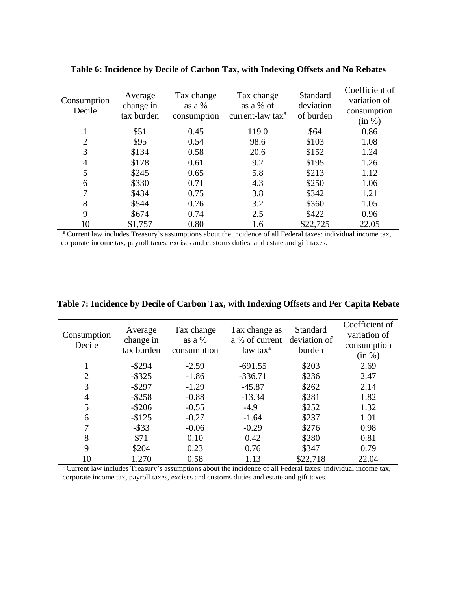| Consumption<br>Decile | Average<br>change in<br>tax burden | Tax change<br>as a $%$<br>consumption | Tax change<br>as a % of<br>current-law tax <sup>a</sup> | Standard<br>deviation<br>of burden | Coefficient of<br>variation of<br>consumption<br>(in %) |
|-----------------------|------------------------------------|---------------------------------------|---------------------------------------------------------|------------------------------------|---------------------------------------------------------|
|                       | \$51                               | 0.45                                  | 119.0                                                   | \$64                               | 0.86                                                    |
| 2                     | \$95                               | 0.54                                  | 98.6                                                    | \$103                              | 1.08                                                    |
| 3                     | \$134                              | 0.58                                  | 20.6                                                    | \$152                              | 1.24                                                    |
| 4                     | \$178                              | 0.61                                  | 9.2                                                     | \$195                              | 1.26                                                    |
| 5                     | \$245                              | 0.65                                  | 5.8                                                     | \$213                              | 1.12                                                    |
| 6                     | \$330                              | 0.71                                  | 4.3                                                     | \$250                              | 1.06                                                    |
| 7                     | \$434                              | 0.75                                  | 3.8                                                     | \$342                              | 1.21                                                    |
| 8                     | \$544                              | 0.76                                  | 3.2                                                     | \$360                              | 1.05                                                    |
| 9                     | \$674                              | 0.74                                  | 2.5                                                     | \$422                              | 0.96                                                    |
| 10                    | \$1,757                            | 0.80                                  | 1.6                                                     | \$22,725                           | 22.05                                                   |

**Table 6: Incidence by Decile of Carbon Tax, with Indexing Offsets and No Rebates**

<sup>a</sup> Current law includes Treasury's assumptions about the incidence of all Federal taxes: individual income tax, corporate income tax, payroll taxes, excises and customs duties, and estate and gift taxes.

| Consumption<br>Decile | Average<br>change in<br>tax burden | Tax change<br>as a $%$<br>consumption | Tax change as<br>a % of current<br>law tax <sup>a</sup> | Standard<br>deviation of<br>burden | Coefficient of<br>variation of<br>consumption<br>(in %) |
|-----------------------|------------------------------------|---------------------------------------|---------------------------------------------------------|------------------------------------|---------------------------------------------------------|
|                       | $-$ \$294                          | $-2.59$                               | $-691.55$                                               | \$203                              | 2.69                                                    |
| $\overline{2}$        | $-$ \$325                          | $-1.86$                               | $-336.71$                                               | \$236                              | 2.47                                                    |
| 3                     | $-$ \$297                          | $-1.29$                               | $-45.87$                                                | \$262                              | 2.14                                                    |
| 4                     | $-$ \$258                          | $-0.88$                               | $-13.34$                                                | \$281                              | 1.82                                                    |
| 5                     | $-$ \$206                          | $-0.55$                               | $-4.91$                                                 | \$252                              | 1.32                                                    |
| 6                     | $-$125$                            | $-0.27$                               | $-1.64$                                                 | \$237                              | 1.01                                                    |
| 7                     | $-$ \$33                           | $-0.06$                               | $-0.29$                                                 | \$276                              | 0.98                                                    |
| 8                     | \$71                               | 0.10                                  | 0.42                                                    | \$280                              | 0.81                                                    |
| 9                     | \$204                              | 0.23                                  | 0.76                                                    | \$347                              | 0.79                                                    |
| 10                    | 1,270                              | 0.58                                  | 1.13                                                    | \$22,718                           | 22.04                                                   |

**Table 7: Incidence by Decile of Carbon Tax, with Indexing Offsets and Per Capita Rebate** 

<sup>a</sup> Current law includes Treasury's assumptions about the incidence of all Federal taxes: individual income tax, corporate income tax, payroll taxes, excises and customs duties and estate and gift taxes.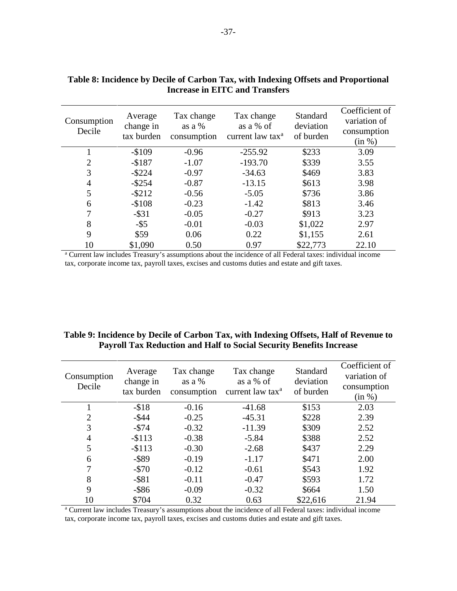| Consumption<br>Decile | Average<br>change in<br>tax burden | Tax change<br>as a $%$<br>consumption | Tax change<br>as a % of<br>current law tax <sup>a</sup> | Standard<br>deviation<br>of burden | Coefficient of<br>variation of<br>consumption<br>(in %) |
|-----------------------|------------------------------------|---------------------------------------|---------------------------------------------------------|------------------------------------|---------------------------------------------------------|
|                       | $-$109$                            | $-0.96$                               | $-255.92$                                               | \$233                              | 3.09                                                    |
| $\overline{2}$        | $-$187$                            | $-1.07$                               | $-193.70$                                               | \$339                              | 3.55                                                    |
| 3                     | $-$ \$224                          | $-0.97$                               | $-34.63$                                                | \$469                              | 3.83                                                    |
| 4                     | $-$ \$254                          | $-0.87$                               | $-13.15$                                                | \$613                              | 3.98                                                    |
| 5                     | $-$ \$212                          | $-0.56$                               | $-5.05$                                                 | \$736                              | 3.86                                                    |
| 6                     | $-$108$                            | $-0.23$                               | $-1.42$                                                 | \$813                              | 3.46                                                    |
| 7                     | $-$ \$31                           | $-0.05$                               | $-0.27$                                                 | \$913                              | 3.23                                                    |
| 8                     | $-$ \$5                            | $-0.01$                               | $-0.03$                                                 | \$1,022                            | 2.97                                                    |
| 9                     | \$59                               | 0.06                                  | 0.22                                                    | \$1,155                            | 2.61                                                    |
| 10                    | \$1,090                            | 0.50                                  | 0.97                                                    | \$22,773                           | 22.10                                                   |

## **Table 8: Incidence by Decile of Carbon Tax, with Indexing Offsets and Proportional Increase in EITC and Transfers**

<sup>a</sup> Current law includes Treasury's assumptions about the incidence of all Federal taxes: individual income tax, corporate income tax, payroll taxes, excises and customs duties and estate and gift taxes.

## **Table 9: Incidence by Decile of Carbon Tax, with Indexing Offsets, Half of Revenue to Payroll Tax Reduction and Half to Social Security Benefits Increase**

| Consumption<br>Decile | Average<br>change in<br>tax burden | Tax change<br>as a $%$<br>consumption | Tax change<br>as a % of<br>current law tax <sup>a</sup> | Standard<br>deviation<br>of burden | Coefficient of<br>variation of<br>consumption<br>(in %) |
|-----------------------|------------------------------------|---------------------------------------|---------------------------------------------------------|------------------------------------|---------------------------------------------------------|
|                       | $-$ \$18                           | $-0.16$                               | $-41.68$                                                | \$153                              | 2.03                                                    |
| $\overline{2}$        | $-$ \$44                           | $-0.25$                               | $-45.31$                                                | \$228                              | 2.39                                                    |
| 3                     | $-574$                             | $-0.32$                               | $-11.39$                                                | \$309                              | 2.52                                                    |
| 4                     | $-$113$                            | $-0.38$                               | $-5.84$                                                 | \$388                              | 2.52                                                    |
| 5                     | $-$113$                            | $-0.30$                               | $-2.68$                                                 | \$437                              | 2.29                                                    |
| 6                     | $-$ \$89                           | $-0.19$                               | $-1.17$                                                 | \$471                              | 2.00                                                    |
| 7                     | $-570$                             | $-0.12$                               | $-0.61$                                                 | \$543                              | 1.92                                                    |
| 8                     | $-$ \$81                           | $-0.11$                               | $-0.47$                                                 | \$593                              | 1.72                                                    |
| 9                     | $-$ \$86                           | $-0.09$                               | $-0.32$                                                 | \$664                              | 1.50                                                    |
| 10                    | \$704                              | 0.32                                  | 0.63                                                    | \$22,616                           | 21.94                                                   |

<sup>a</sup> Current law includes Treasury's assumptions about the incidence of all Federal taxes: individual income tax, corporate income tax, payroll taxes, excises and customs duties and estate and gift taxes.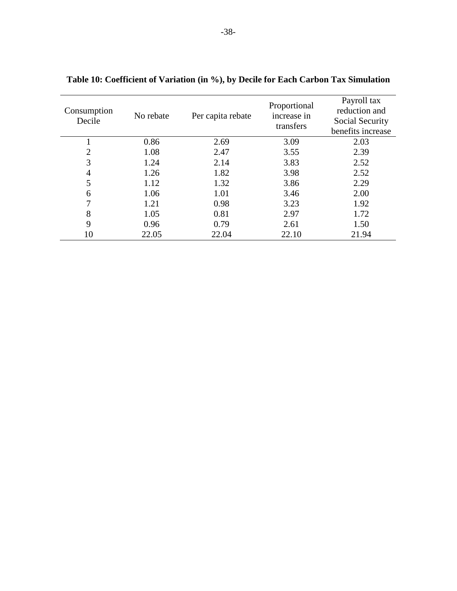| Consumption<br>Decile | No rebate | Per capita rebate | Proportional<br>increase in<br>transfers | Payroll tax<br>reduction and<br>Social Security<br>benefits increase |
|-----------------------|-----------|-------------------|------------------------------------------|----------------------------------------------------------------------|
|                       | 0.86      | 2.69              | 3.09                                     | 2.03                                                                 |
| $\overline{2}$        | 1.08      | 2.47              | 3.55                                     | 2.39                                                                 |
| 3                     | 1.24      | 2.14              | 3.83                                     | 2.52                                                                 |
| 4                     | 1.26      | 1.82              | 3.98                                     | 2.52                                                                 |
| 5                     | 1.12      | 1.32              | 3.86                                     | 2.29                                                                 |
| 6                     | 1.06      | 1.01              | 3.46                                     | 2.00                                                                 |
| 7                     | 1.21      | 0.98              | 3.23                                     | 1.92                                                                 |
| 8                     | 1.05      | 0.81              | 2.97                                     | 1.72                                                                 |
| 9                     | 0.96      | 0.79              | 2.61                                     | 1.50                                                                 |
| 10                    | 22.05     | 22.04             | 22.10                                    | 21.94                                                                |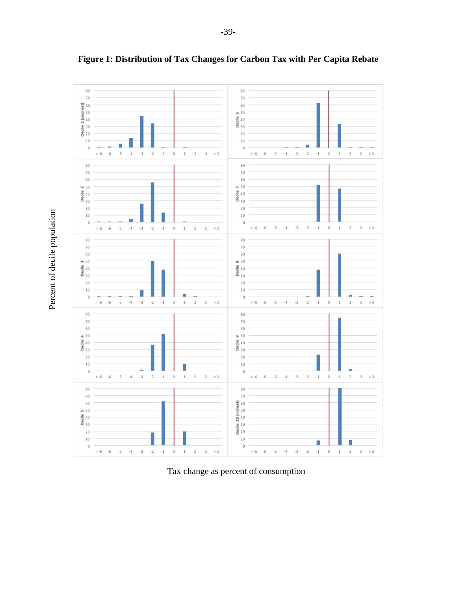

**Figure 1: Distribution of Tax Changes for Carbon Tax with Per Capita Rebate** 

Tax change as percent of consumption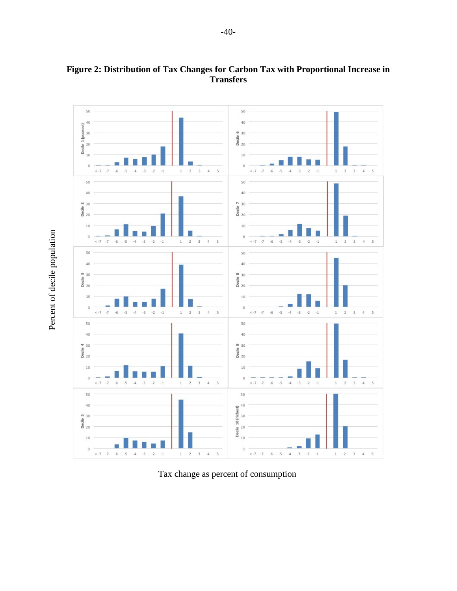

# **Figure 2: Distribution of Tax Changes for Carbon Tax with Proportional Increase in Transfers**

Tax change as percent of consumption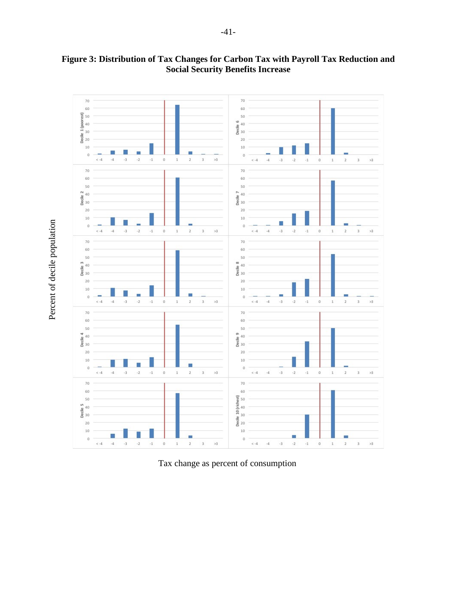

**Figure 3: Distribution of Tax Changes for Carbon Tax with Payroll Tax Reduction and Social Security Benefits Increase**

Tax change as percent of consumption